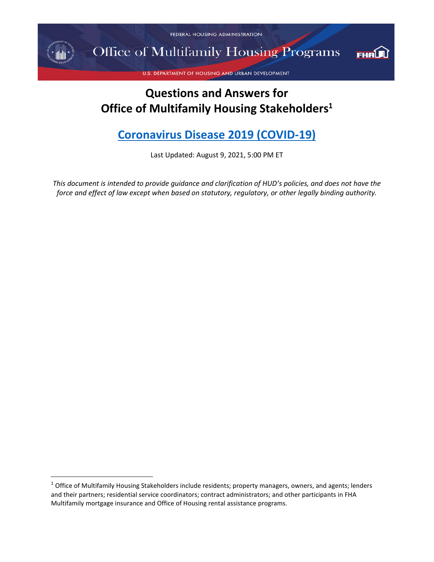FEDERAL HOUSING ADMINISTRATION

 $\star$   $\parallel$ 

**Office of Multifamily Housing Programs** 



U.S. DEPARTMENT OF HOUSING AND URBAN DEVELOPMENT

# **Questions and Answers for Office of Multifamily Housing Stakeholders<sup>1</sup>**

# **[Coronavirus Disease 2019 \(COVID-19\)](https://www.cdc.gov/coronavirus/2019-ncov/index.html)**

Last Updated: August 9, 2021, 5:00 PM ET

*This document is intended to provide guidance and clarification of HUD's policies, and does not have the force and effect of law except when based on statutory, regulatory, or other legally binding authority.* 

<sup>&</sup>lt;sup>1</sup> Office of Multifamily Housing Stakeholders include residents; property managers, owners, and agents; lenders and their partners; residential service coordinators; contract administrators; and other participants in FHA Multifamily mortgage insurance and Office of Housing rental assistance programs.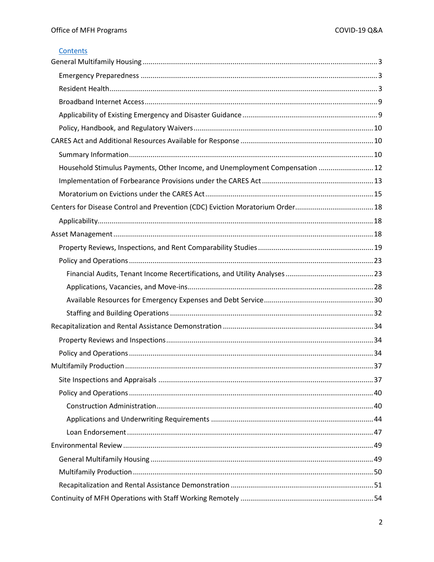#### Contents

| Household Stimulus Payments, Other Income, and Unemployment Compensation  12 |  |
|------------------------------------------------------------------------------|--|
|                                                                              |  |
|                                                                              |  |
|                                                                              |  |
|                                                                              |  |
|                                                                              |  |
|                                                                              |  |
|                                                                              |  |
|                                                                              |  |
|                                                                              |  |
|                                                                              |  |
|                                                                              |  |
|                                                                              |  |
|                                                                              |  |
|                                                                              |  |
|                                                                              |  |
|                                                                              |  |
|                                                                              |  |
|                                                                              |  |
|                                                                              |  |
|                                                                              |  |
|                                                                              |  |
|                                                                              |  |
|                                                                              |  |
|                                                                              |  |
|                                                                              |  |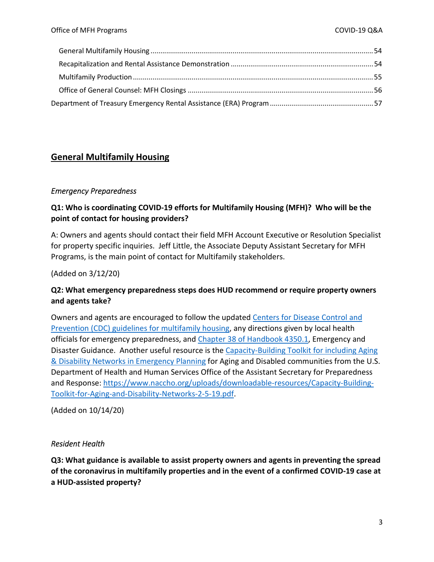# <span id="page-2-0"></span>**General Multifamily Housing**

#### <span id="page-2-1"></span>*Emergency Preparedness*

### **Q1: Who is coordinating COVID-19 efforts for Multifamily Housing (MFH)? Who will be the point of contact for housing providers?**

A: Owners and agents should contact their field MFH Account Executive or Resolution Specialist for property specific inquiries. Jeff Little, the Associate Deputy Assistant Secretary for MFH Programs, is the main point of contact for Multifamily stakeholders.

(Added on 3/12/20)

#### **Q2: What emergency preparedness steps does HUD recommend or require property owners and agents take?**

Owners and agents are encouraged to follow the updated [Centers for Disease Control and](https://www.cdc.gov/coronavirus/2019-ncov/community/multifamily-housing.html)  [Prevention \(CDC\) guidelines for multifamily housing,](https://www.cdc.gov/coronavirus/2019-ncov/community/multifamily-housing.html) any directions given by local health officials for emergency preparedness, and [Chapter 38 of Handbook 4350.1,](https://www.hud.gov/program_offices/administration/hudclips/handbooks/hsgh/4350.1) Emergency and Disaster Guidance. Another useful resource is the [Capacity-Building Toolkit for including Aging](https://www.naccho.org/uploads/downloadable-resources/Capacity-Building-Toolkit-for-Aging-and-Disability-Networks-2-5-19.pdf)  [& Disability Networks in Emergency Planning](https://www.naccho.org/uploads/downloadable-resources/Capacity-Building-Toolkit-for-Aging-and-Disability-Networks-2-5-19.pdf) for Aging and Disabled communities from the U.S. Department of Health and Human Services Office of the Assistant Secretary for Preparedness and Response: [https://www.naccho.org/uploads/downloadable-resources/Capacity-Building-](https://www.naccho.org/uploads/downloadable-resources/Capacity-Building-Toolkit-for-Aging-and-Disability-Networks-2-5-19.pdf)[Toolkit-for-Aging-and-Disability-Networks-2-5-19.pdf.](https://www.naccho.org/uploads/downloadable-resources/Capacity-Building-Toolkit-for-Aging-and-Disability-Networks-2-5-19.pdf)

(Added on 10/14/20)

#### <span id="page-2-2"></span>*Resident Health*

**Q3: What guidance is available to assist property owners and agents in preventing the spread of the coronavirus in multifamily properties and in the event of a confirmed COVID-19 case at a HUD-assisted property?**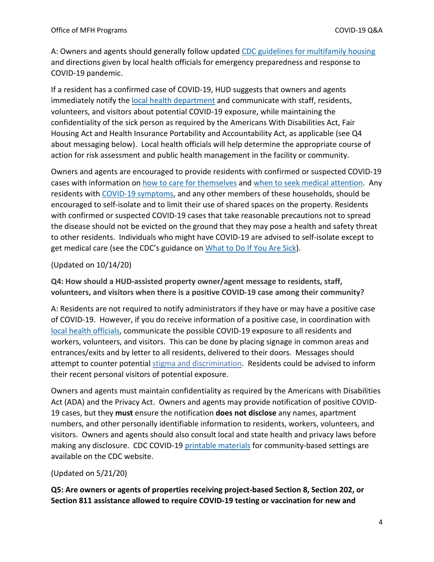A: Owners and agents should generally follow updated [CDC guidelines for multifamily housing](https://www.cdc.gov/coronavirus/2019-ncov/community/multifamily-housing.html) and directions given by local health officials for emergency preparedness and response to COVID-19 pandemic.

If a resident has a confirmed case of COVID-19, HUD suggests that owners and agents immediately notify the [local health department](https://www.naccho.org/membership/lhd-directory) and communicate with staff, residents, volunteers, and visitors about potential COVID-19 exposure, while maintaining the confidentiality of the sick person as required by the Americans With Disabilities Act, Fair Housing Act and Health Insurance Portability and Accountability Act, as applicable (see Q4 about messaging below). Local health officials will help determine the appropriate course of action for risk assessment and public health management in the facility or community.

Owners and agents are encouraged to provide residents with confirmed or suspected COVID-19 cases with information on [how to care for themselves](https://www.cdc.gov/coronavirus/2019-ncov/if-you-are-sick/caring-for-yourself-at-home.html) and [when to seek medical attention.](https://www.cdc.gov/coronavirus/2019-ncov/symptoms-testing/symptoms.html) Any residents with [COVID-19 symptoms,](https://www.cdc.gov/coronavirus/2019-ncov/symptoms-testing/symptoms.html) and any other members of these households, should be encouraged to self-isolate and to limit their use of shared spaces on the property. Residents with confirmed or suspected COVID-19 cases that take reasonable precautions not to spread the disease should not be evicted on the ground that they may pose a health and safety threat to other residents. Individuals who might have COVID-19 are advised to self-isolate except to get medical care (see the CDC's guidance o[n What to Do If You Are Sick\)](https://www.cdc.gov/coronavirus/2019-ncov/if-you-are-sick/steps-when-sick.html).

#### (Updated on 10/14/20)

**Q4: How should a HUD-assisted property owner/agent message to residents, staff, volunteers, and visitors when there is a positive COVID-19 case among their community?** 

A: Residents are not required to notify administrators if they have or may have a positive case of COVID-19. However, if you do receive information of a positive case, in coordination with [local health officials,](https://www.naccho.org/membership/lhd-directory) communicate the possible COVID-19 exposure to all residents and workers, volunteers, and visitors. This can be done by placing signage in common areas and entrances/exits and by letter to all residents, delivered to their doors. Messages should attempt to counter potential [stigma and discrimination.](https://www.cdc.gov/coronavirus/2019-ncov/daily-life-coping/reducing-stigma.html) Residents could be advised to inform their recent personal visitors of potential exposure.

Owners and agents must maintain confidentiality as required by the Americans with Disabilities Act (ADA) and the Privacy Act. Owners and agents may provide notification of positive COVID-19 cases, but they **must** ensure the notification **does not disclose** any names, apartment numbers, and other personally identifiable information to residents, workers, volunteers, and visitors. Owners and agents should also consult local and state health and privacy laws before making any disclosure. CDC COVID-19 [printable materials](https://www.cdc.gov/coronavirus/2019-ncov/communication/print-resources.html) for community-based settings are available on the CDC website.

#### (Updated on 5/21/20)

**Q5: Are owners or agents of properties receiving project-based Section 8, Section 202, or Section 811 assistance allowed to require COVID-19 testing or vaccination for new and**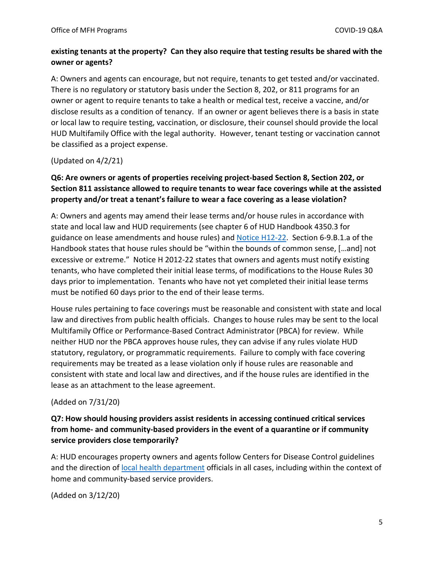### **existing tenants at the property? Can they also require that testing results be shared with the owner or agents?**

A: Owners and agents can encourage, but not require, tenants to get tested and/or vaccinated. There is no regulatory or statutory basis under the Section 8, 202, or 811 programs for an owner or agent to require tenants to take a health or medical test, receive a vaccine, and/or disclose results as a condition of tenancy. If an owner or agent believes there is a basis in state or local law to require testing, vaccination, or disclosure, their counsel should provide the local HUD Multifamily Office with the legal authority. However, tenant testing or vaccination cannot be classified as a project expense.

(Updated on 4/2/21)

### **Q6: Are owners or agents of properties receiving project-based Section 8, Section 202, or Section 811 assistance allowed to require tenants to wear face coverings while at the assisted property and/or treat a tenant's failure to wear a face covering as a lease violation?**

A: Owners and agents may amend their lease terms and/or house rules in accordance with state and local law and HUD requirements (see chapter 6 of HUD Handbook 4350.3 for guidance on lease amendments and house rules) and [Notice H12-22.](https://www.hud.gov/sites/documents/12-22HSGN.PDF) Section 6-9.B.1.a of the Handbook states that house rules should be "within the bounds of common sense, […and] not excessive or extreme." Notice H 2012-22 states that owners and agents must notify existing tenants, who have completed their initial lease terms, of modifications to the House Rules 30 days prior to implementation. Tenants who have not yet completed their initial lease terms must be notified 60 days prior to the end of their lease terms.

House rules pertaining to face coverings must be reasonable and consistent with state and local law and directives from public health officials. Changes to house rules may be sent to the local Multifamily Office or Performance-Based Contract Administrator (PBCA) for review. While neither HUD nor the PBCA approves house rules, they can advise if any rules violate HUD statutory, regulatory, or programmatic requirements. Failure to comply with face covering requirements may be treated as a lease violation only if house rules are reasonable and consistent with state and local law and directives, and if the house rules are identified in the lease as an attachment to the lease agreement.

#### (Added on 7/31/20)

### **Q7: How should housing providers assist residents in accessing continued critical services from home- and community-based providers in the event of a quarantine or if community service providers close temporarily?**

A: HUD encourages property owners and agents follow Centers for Disease Control guidelines and the direction of [local health department](https://www.naccho.org/membership/lhd-directory) officials in all cases, including within the context of home and community-based service providers.

(Added on 3/12/20)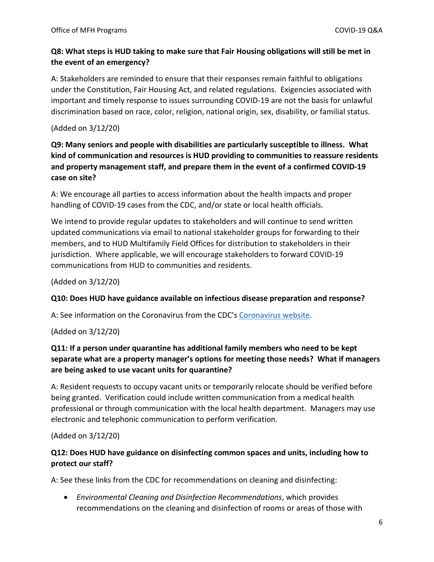### **Q8: What steps is HUD taking to make sure that Fair Housing obligations will still be met in the event of an emergency?**

A: Stakeholders are reminded to ensure that their responses remain faithful to obligations under the Constitution, Fair Housing Act, and related regulations. Exigencies associated with important and timely response to issues surrounding COVID-19 are not the basis for unlawful discrimination based on race, color, religion, national origin, sex, disability, or familial status.

#### (Added on 3/12/20)

**Q9: Many seniors and people with disabilities are particularly susceptible to illness. What kind of communication and resources is HUD providing to communities to reassure residents and property management staff, and prepare them in the event of a confirmed COVID-19 case on site?** 

A: We encourage all parties to access information about the health impacts and proper handling of COVID-19 cases from the CDC, and/or state or local health officials.

We intend to provide regular updates to stakeholders and will continue to send written updated communications via email to national stakeholder groups for forwarding to their members, and to HUD Multifamily Field Offices for distribution to stakeholders in their jurisdiction. Where applicable, we will encourage stakeholders to forward COVID-19 communications from HUD to communities and residents.

(Added on 3/12/20)

#### **Q10: Does HUD have guidance available on infectious disease preparation and response?**

A: See information on the Coronavirus from the CDC's [Coronavirus website.](https://www.cdc.gov/coronavirus/2019-ncov/community/index.html)

(Added on 3/12/20)

### **Q11: If a person under quarantine has additional family members who need to be kept separate what are a property manager's options for meeting those needs? What if managers are being asked to use vacant units for quarantine?**

A: Resident requests to occupy vacant units or temporarily relocate should be verified before being granted. Verification could include written communication from a medical health professional or through communication with the local health department. Managers may use electronic and telephonic communication to perform verification.

(Added on 3/12/20)

### **Q12: Does HUD have guidance on disinfecting common spaces and units, including how to protect our staff?**

A: See these links from the CDC for recommendations on cleaning and disinfecting:

 *Environmental Cleaning and Disinfection Recommendations*, which provides recommendations on the cleaning and disinfection of rooms or areas of those with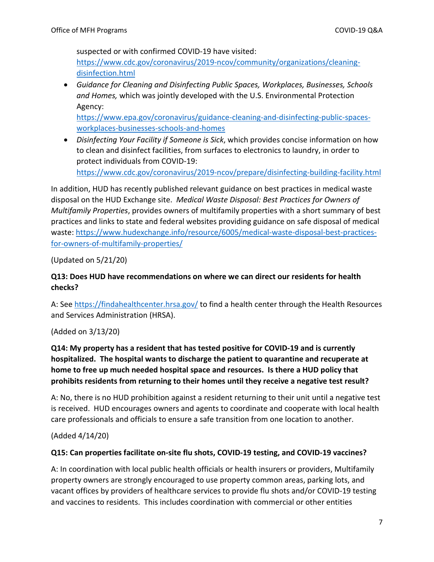suspected or with confirmed COVID-19 have visited:

[https://www.cdc.gov/coronavirus/2019-ncov/community/organizations/cleaning](https://www.cdc.gov/coronavirus/2019-ncov/community/organizations/cleaning-disinfection.html)[disinfection.html](https://www.cdc.gov/coronavirus/2019-ncov/community/organizations/cleaning-disinfection.html)

 *Guidance for Cleaning and Disinfecting Public Spaces, Workplaces, Businesses, Schools and Homes,* which was jointly developed with the U.S. Environmental Protection Agency:

[https://www.epa.gov/coronavirus/guidance-cleaning-and-disinfecting-public-spaces](https://www.epa.gov/coronavirus/guidance-cleaning-and-disinfecting-public-spaces-workplaces-businesses-schools-and-homes)[workplaces-businesses-schools-and-homes](https://www.epa.gov/coronavirus/guidance-cleaning-and-disinfecting-public-spaces-workplaces-businesses-schools-and-homes)

 *Disinfecting Your Facility if Someone is Sick*, which provides concise information on how to clean and disinfect facilities, from surfaces to electronics to laundry, in order to protect individuals from COVID-19: <https://www.cdc.gov/coronavirus/2019-ncov/prepare/disinfecting-building-facility.html>

In addition, HUD has recently published relevant guidance on best practices in medical waste disposal on the HUD Exchange site. *Medical Waste Disposal: Best Practices for Owners of Multifamily Properties*, provides owners of multifamily properties with a short summary of best practices and links to state and federal websites providing guidance on safe disposal of medical waste: [https://www.hudexchange.info/resource/6005/medical-waste-disposal-best-practices](https://www.hudexchange.info/resource/6005/medical-waste-disposal-best-practices-for-owners-of-multifamily-properties/)[for-owners-of-multifamily-properties/](https://www.hudexchange.info/resource/6005/medical-waste-disposal-best-practices-for-owners-of-multifamily-properties/)

(Updated on 5/21/20)

### **Q13: Does HUD have recommendations on where we can direct our residents for health checks?**

A: See<https://findahealthcenter.hrsa.gov/>to find a health center through the Health Resources and Services Administration (HRSA).

(Added on 3/13/20)

# **Q14: My property has a resident that has tested positive for COVID-19 and is currently hospitalized. The hospital wants to discharge the patient to quarantine and recuperate at home to free up much needed hospital space and resources. Is there a HUD policy that prohibits residents from returning to their homes until they receive a negative test result?**

A: No, there is no HUD prohibition against a resident returning to their unit until a negative test is received. HUD encourages owners and agents to coordinate and cooperate with local health care professionals and officials to ensure a safe transition from one location to another.

(Added 4/14/20)

# **Q15: Can properties facilitate on-site flu shots, COVID-19 testing, and COVID-19 vaccines?**

A: In coordination with local public health officials or health insurers or providers, Multifamily property owners are strongly encouraged to use property common areas, parking lots, and vacant offices by providers of healthcare services to provide flu shots and/or COVID-19 testing and vaccines to residents. This includes coordination with commercial or other entities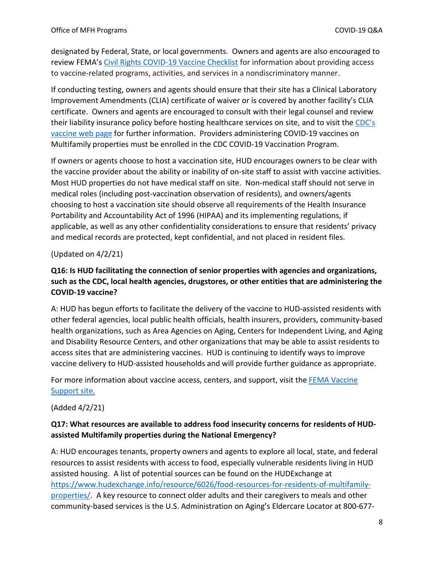designated by Federal, State, or local governments. Owners and agents are also encouraged to review FEMA'[s Civil Rights COVID-19 Vaccine Checklist](https://www.fema.gov/sites/default/files/documents/fema_civil-rights-covid-19_vaccine_checklist_02-11-2021.pdf) for information about providing access to vaccine-related programs, activities, and services in a nondiscriminatory manner.

If conducting testing, owners and agents should ensure that their site has a Clinical Laboratory Improvement Amendments (CLIA) certificate of waiver or is covered by another facility's CLIA certificate. Owners and agents are encouraged to consult with their legal counsel and review their liability insurance policy before hosting healthcare services on site, and to visit the [CDC's](https://www.cdc.gov/coronavirus/2019-ncov/vaccines/index.html)  [vaccine web page](https://www.cdc.gov/coronavirus/2019-ncov/vaccines/index.html) for further information. Providers administering COVID-19 vaccines on Multifamily properties must be enrolled in the CDC COVID-19 Vaccination Program.

If owners or agents choose to host a vaccination site, HUD encourages owners to be clear with the vaccine provider about the ability or inability of on-site staff to assist with vaccine activities. Most HUD properties do not have medical staff on site. Non-medical staff should not serve in medical roles (including post-vaccination observation of residents), and owners/agents choosing to host a vaccination site should observe all requirements of the Health Insurance Portability and Accountability Act of 1996 (HIPAA) and its implementing regulations, if applicable, as well as any other confidentiality considerations to ensure that residents' privacy and medical records are protected, kept confidential, and not placed in resident files.

(Updated on 4/2/21)

### **Q16: Is HUD facilitating the connection of senior properties with agencies and organizations, such as the CDC, local health agencies, drugstores, or other entities that are administering the COVID-19 vaccine?**

A: HUD has begun efforts to facilitate the delivery of the vaccine to HUD-assisted residents with other federal agencies, local public health officials, health insurers, providers, community-based health organizations, such as Area Agencies on Aging, Centers for Independent Living, and Aging and Disability Resource Centers, and other organizations that may be able to assist residents to access sites that are administering vaccines. HUD is continuing to identify ways to improve vaccine delivery to HUD-assisted households and will provide further guidance as appropriate.

For more information about vaccine access, centers, and support, visit the [FEMA Vaccine](https://www.fema.gov/disasters/coronavirus/vaccine-support)  [Support site.](https://www.fema.gov/disasters/coronavirus/vaccine-support)

(Added 4/2/21)

### **Q17: What resources are available to address food insecurity concerns for residents of HUDassisted Multifamily properties during the National Emergency?**

A: HUD encourages tenants, property owners and agents to explore all local, state, and federal resources to assist residents with access to food, especially vulnerable residents living in HUD assisted housing. A list of potential sources can be found on the HUDExchange at [https://www.hudexchange.info/resource/6026/food-resources-for-residents-of-multifamily](https://www.hudexchange.info/resource/6026/food-resources-for-residents-of-multifamily-properties/)[properties/.](https://www.hudexchange.info/resource/6026/food-resources-for-residents-of-multifamily-properties/) A key resource to connect older adults and their caregivers to meals and other community-based services is the U.S. Administration on Aging's Eldercare Locator at 800-677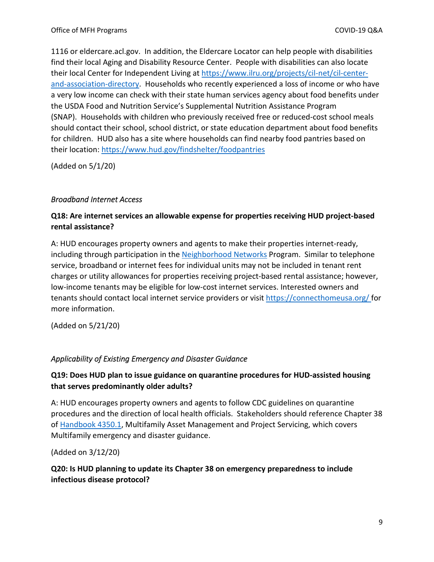1116 or eldercare.acl.gov. In addition, the Eldercare Locator can help people with disabilities find their local Aging and Disability Resource Center. People with disabilities can also locate their local Center for Independent Living at [https://www.ilru.org/projects/cil-net/cil-center](https://www.ilru.org/projects/cil-net/cil-center-and-association-directory)[and-association-directory.](https://www.ilru.org/projects/cil-net/cil-center-and-association-directory) Households who recently experienced a loss of income or who have a very low income can check with their state human services agency about food benefits under the USDA Food and Nutrition Service's Supplemental Nutrition Assistance Program (SNAP). Households with children who previously received free or reduced-cost school meals should contact their school, school district, or state education department about food benefits for children. HUD also has a site where households can find nearby food pantries based on their location:<https://www.hud.gov/findshelter/foodpantries>

(Added on 5/1/20)

#### <span id="page-8-0"></span>*Broadband Internet Access*

#### **Q18: Are internet services an allowable expense for properties receiving HUD project-based rental assistance?**

A: HUD encourages property owners and agents to make their properties internet-ready, including through participation in the [Neighborhood Networks](https://www.hud.gov/program_offices/public_indian_housing/programs/ph/nnw/nnwaboutnn) Program. Similar to telephone service, broadband or internet fees for individual units may not be included in tenant rent charges or utility allowances for properties receiving project-based rental assistance; however, low-income tenants may be eligible for low-cost internet services. Interested owners and tenants should contact local internet service providers or visit<https://connecthomeusa.org/> for more information.

(Added on 5/21/20)

#### <span id="page-8-1"></span>*Applicability of Existing Emergency and Disaster Guidance*

### **Q19: Does HUD plan to issue guidance on quarantine procedures for HUD-assisted housing that serves predominantly older adults?**

A: HUD encourages property owners and agents to follow CDC guidelines on quarantine procedures and the direction of local health officials. Stakeholders should reference Chapter 38 o[f Handbook 4350.1,](https://www.hud.gov/program_offices/administration/hudclips/handbooks/hsgh/4350.1) Multifamily Asset Management and Project Servicing, which covers Multifamily emergency and disaster guidance.

(Added on 3/12/20)

### **Q20: Is HUD planning to update its Chapter 38 on emergency preparedness to include infectious disease protocol?**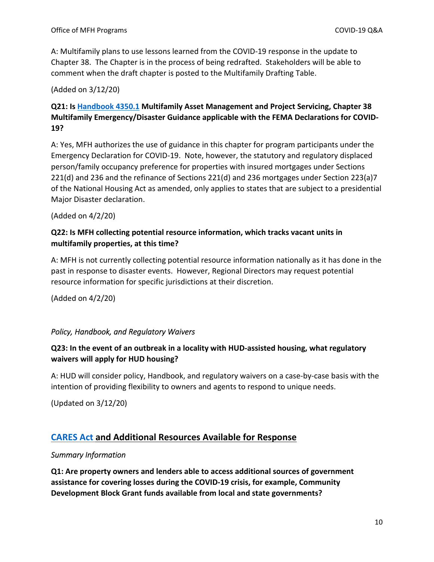A: Multifamily plans to use lessons learned from the COVID-19 response in the update to Chapter 38. The Chapter is in the process of being redrafted. Stakeholders will be able to comment when the draft chapter is posted to the Multifamily Drafting Table.

#### (Added on 3/12/20)

# **Q21: Is [Handbook 4350.1](https://www.hud.gov/program_offices/administration/hudclips/handbooks/hsgh/4350.1) Multifamily Asset Management and Project Servicing, Chapter 38 Multifamily Emergency/Disaster Guidance applicable with the FEMA Declarations for COVID-19?**

A: Yes, MFH authorizes the use of guidance in this chapter for program participants under the Emergency Declaration for COVID-19. Note, however, the statutory and regulatory displaced person/family occupancy preference for properties with insured mortgages under Sections 221(d) and 236 and the refinance of Sections 221(d) and 236 mortgages under Section 223(a)7 of the National Housing Act as amended, only applies to states that are subject to a presidential Major Disaster declaration.

#### (Added on 4/2/20)

### **Q22: Is MFH collecting potential resource information, which tracks vacant units in multifamily properties, at this time?**

A: MFH is not currently collecting potential resource information nationally as it has done in the past in response to disaster events. However, Regional Directors may request potential resource information for specific jurisdictions at their discretion.

(Added on 4/2/20)

#### <span id="page-9-0"></span>*Policy, Handbook, and Regulatory Waivers*

# **Q23: In the event of an outbreak in a locality with HUD-assisted housing, what regulatory waivers will apply for HUD housing?**

A: HUD will consider policy, Handbook, and regulatory waivers on a case-by-case basis with the intention of providing flexibility to owners and agents to respond to unique needs.

(Updated on 3/12/20)

# <span id="page-9-1"></span>**[CARES Act](https://www.congress.gov/bill/116th-congress/house-bill/748/text?q=%7B%22search%22%3A%5B%22H.R.748+-+CARES+Act%22%5D%7D&r=1&s=6) and Additional Resources Available for Response**

#### <span id="page-9-2"></span>*Summary Information*

**Q1: Are property owners and lenders able to access additional sources of government assistance for covering losses during the COVID-19 crisis, for example, Community Development Block Grant funds available from local and state governments?**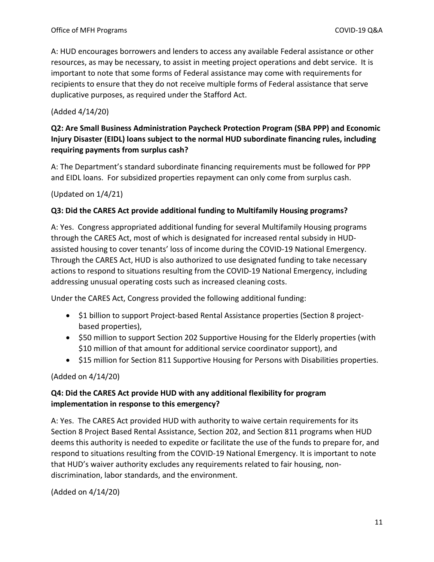A: HUD encourages borrowers and lenders to access any available Federal assistance or other resources, as may be necessary, to assist in meeting project operations and debt service. It is important to note that some forms of Federal assistance may come with requirements for recipients to ensure that they do not receive multiple forms of Federal assistance that serve duplicative purposes, as required under the Stafford Act.

#### (Added 4/14/20)

### **Q2: Are Small Business Administration Paycheck Protection Program (SBA PPP) and Economic Injury Disaster (EIDL) loans subject to the normal HUD subordinate financing rules, including requiring payments from surplus cash?**

A: The Department's standard subordinate financing requirements must be followed for PPP and EIDL loans. For subsidized properties repayment can only come from surplus cash.

(Updated on 1/4/21)

#### **Q3: Did the CARES Act provide additional funding to Multifamily Housing programs?**

A: Yes. Congress appropriated additional funding for several Multifamily Housing programs through the CARES Act, most of which is designated for increased rental subsidy in HUDassisted housing to cover tenants' loss of income during the COVID-19 National Emergency. Through the CARES Act, HUD is also authorized to use designated funding to take necessary actions to respond to situations resulting from the COVID-19 National Emergency, including addressing unusual operating costs such as increased cleaning costs.

Under the CARES Act, Congress provided the following additional funding:

- \$1 billion to support Project-based Rental Assistance properties (Section 8 projectbased properties),
- \$50 million to support Section 202 Supportive Housing for the Elderly properties (with \$10 million of that amount for additional service coordinator support), and
- \$15 million for Section 811 Supportive Housing for Persons with Disabilities properties.

(Added on 4/14/20)

#### **Q4: Did the CARES Act provide HUD with any additional flexibility for program implementation in response to this emergency?**

A: Yes. The CARES Act provided HUD with authority to waive certain requirements for its Section 8 Project Based Rental Assistance, Section 202, and Section 811 programs when HUD deems this authority is needed to expedite or facilitate the use of the funds to prepare for, and respond to situations resulting from the COVID-19 National Emergency. It is important to note that HUD's waiver authority excludes any requirements related to fair housing, nondiscrimination, labor standards, and the environment.

(Added on 4/14/20)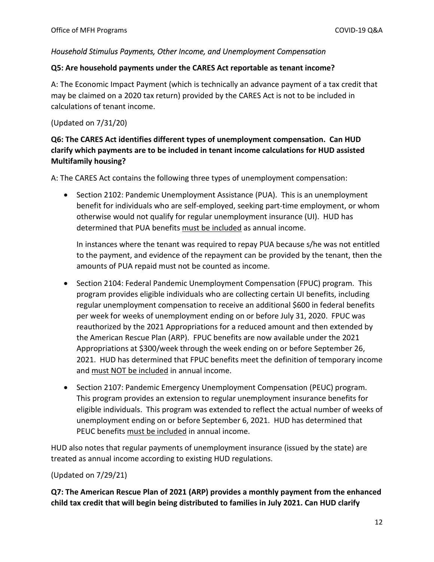#### <span id="page-11-0"></span>*Household Stimulus Payments, Other Income, and Unemployment Compensation*

#### **Q5: Are household payments under the CARES Act reportable as tenant income?**

A: The Economic Impact Payment (which is technically an advance payment of a tax credit that may be claimed on a 2020 tax return) provided by the CARES Act is not to be included in calculations of tenant income.

#### (Updated on 7/31/20)

# **Q6: The CARES Act identifies different types of unemployment compensation. Can HUD clarify which payments are to be included in tenant income calculations for HUD assisted Multifamily housing?**

A: The CARES Act contains the following three types of unemployment compensation:

• Section 2102: Pandemic Unemployment Assistance (PUA). This is an unemployment benefit for individuals who are self-employed, seeking part-time employment, or whom otherwise would not qualify for regular unemployment insurance (UI). HUD has determined that PUA benefits must be included as annual income.

In instances where the tenant was required to repay PUA because s/he was not entitled to the payment, and evidence of the repayment can be provided by the tenant, then the amounts of PUA repaid must not be counted as income.

- Section 2104: Federal Pandemic Unemployment Compensation (FPUC) program. This program provides eligible individuals who are collecting certain UI benefits, including regular unemployment compensation to receive an additional \$600 in federal benefits per week for weeks of unemployment ending on or before July 31, 2020. FPUC was reauthorized by the 2021 Appropriations for a reduced amount and then extended by the American Rescue Plan (ARP). FPUC benefits are now available under the 2021 Appropriations at \$300/week through the week ending on or before September 26, 2021. HUD has determined that FPUC benefits meet the definition of temporary income and must NOT be included in annual income.
- Section 2107: Pandemic Emergency Unemployment Compensation (PEUC) program. This program provides an extension to regular unemployment insurance benefits for eligible individuals. This program was extended to reflect the actual number of weeks of unemployment ending on or before September 6, 2021. HUD has determined that PEUC benefits must be included in annual income.

HUD also notes that regular payments of unemployment insurance (issued by the state) are treated as annual income according to existing HUD regulations.

#### (Updated on 7/29/21)

**Q7: The American Rescue Plan of 2021 (ARP) provides a monthly payment from the enhanced child tax credit that will begin being distributed to families in July 2021. Can HUD clarify**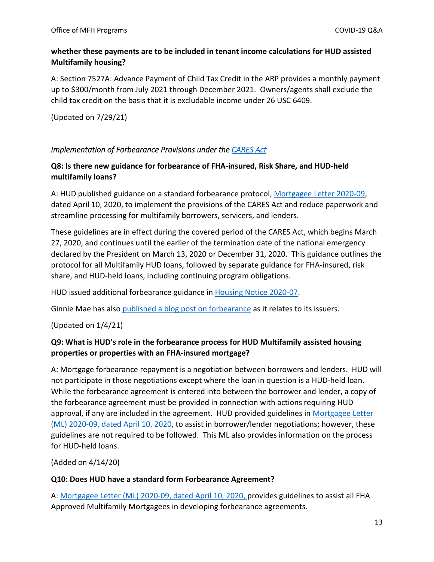### **whether these payments are to be included in tenant income calculations for HUD assisted Multifamily housing?**

A: Section 7527A: Advance Payment of Child Tax Credit in the ARP provides a monthly payment up to \$300/month from July 2021 through December 2021. Owners/agents shall exclude the child tax credit on the basis that it is excludable income under 26 USC 6409.

(Updated on 7/29/21)

### <span id="page-12-0"></span>*Implementation of Forbearance Provisions under the [CARES Act](https://www.congress.gov/bill/116th-congress/house-bill/748/text?q=%7B%22search%22%3A%5B%22H.R.748+-+CARES+Act%22%5D%7D&r=1&s=6)*

### **Q8: Is there new guidance for forbearance of FHA-insured, Risk Share, and HUD-held multifamily loans?**

A: HUD published guidance on a standard forbearance protocol, [Mortgagee Letter 2020-09,](https://www.hud.gov/sites/dfiles/OCHCO/documents/2020-09hsngml.pdf) dated April 10, 2020, to implement the provisions of the CARES Act and reduce paperwork and streamline processing for multifamily borrowers, servicers, and lenders.

These guidelines are in effect during the covered period of the CARES Act, which begins March 27, 2020, and continues until the earlier of the termination date of the national emergency declared by the President on March 13, 2020 or December 31, 2020. This guidance outlines the protocol for all Multifamily HUD loans, followed by separate guidance for FHA-insured, risk share, and HUD-held loans, including continuing program obligations.

HUD issued additional forbearance guidance in [Housing Notice 2020-07.](https://www.hud.gov/sites/dfiles/OCHCO/documents/20-07hsgn.pdf.pdf)

Ginnie Mae has also [published a blog post on forbearance](https://ginniemae.gov/newsroom/GinnieInBrief/Pages/Post.aspx?PostID=40) as it relates to its issuers.

(Updated on 1/4/21)

### **Q9: What is HUD's role in the forbearance process for HUD Multifamily assisted housing properties or properties with an FHA-insured mortgage?**

A: Mortgage forbearance repayment is a negotiation between borrowers and lenders. HUD will not participate in those negotiations except where the loan in question is a HUD-held loan. While the forbearance agreement is entered into between the borrower and lender, a copy of the forbearance agreement must be provided in connection with actions requiring HUD approval, if any are included in the agreement. HUD provided guidelines in [Mortgagee Letter](https://www.hud.gov/sites/dfiles/OCHCO/documents/2020-09hsngml.pdf)  [\(ML\) 2020-09, dated April 10, 2020,](https://www.hud.gov/sites/dfiles/OCHCO/documents/2020-09hsngml.pdf) to assist in borrower/lender negotiations; however, these guidelines are not required to be followed. This ML also provides information on the process for HUD-held loans.

(Added on 4/14/20)

#### **Q10: Does HUD have a standard form Forbearance Agreement?**

A: [Mortgagee Letter \(ML\) 2020-09, dated April 10, 2020,](https://www.hud.gov/sites/dfiles/OCHCO/documents/2020-09hsngml.pdf) provides guidelines to assist all FHA Approved Multifamily Mortgagees in developing forbearance agreements.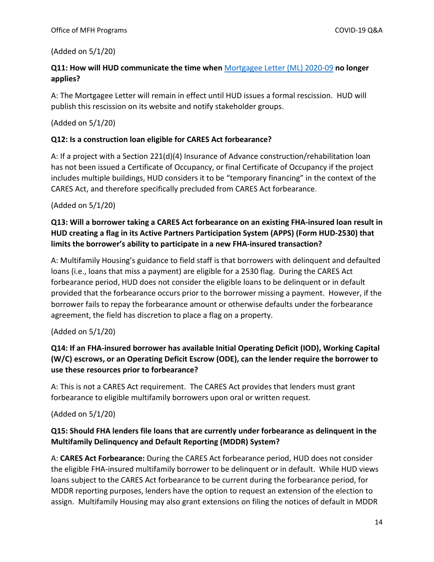#### (Added on 5/1/20)

### **Q11: How will HUD communicate the time when** [Mortgagee Letter \(ML\) 2020-09](https://www.hud.gov/sites/dfiles/OCHCO/documents/2020-09hsngml.pdf) **no longer applies?**

A: The Mortgagee Letter will remain in effect until HUD issues a formal rescission. HUD will publish this rescission on its website and notify stakeholder groups.

#### (Added on 5/1/20)

#### **Q12: Is a construction loan eligible for CARES Act forbearance?**

A: If a project with a Section 221(d)(4) Insurance of Advance construction/rehabilitation loan has not been issued a Certificate of Occupancy, or final Certificate of Occupancy if the project includes multiple buildings, HUD considers it to be "temporary financing" in the context of the CARES Act, and therefore specifically precluded from CARES Act forbearance.

#### (Added on 5/1/20)

### **Q13: Will a borrower taking a CARES Act forbearance on an existing FHA-insured loan result in HUD creating a flag in its Active Partners Participation System (APPS) (Form HUD-2530) that limits the borrower's ability to participate in a new FHA-insured transaction?**

A: Multifamily Housing's guidance to field staff is that borrowers with delinquent and defaulted loans (i.e., loans that miss a payment) are eligible for a 2530 flag. During the CARES Act forbearance period, HUD does not consider the eligible loans to be delinquent or in default provided that the forbearance occurs prior to the borrower missing a payment. However, if the borrower fails to repay the forbearance amount or otherwise defaults under the forbearance agreement, the field has discretion to place a flag on a property.

#### (Added on 5/1/20)

# **Q14: If an FHA-insured borrower has available Initial Operating Deficit (IOD), Working Capital (W/C) escrows, or an Operating Deficit Escrow (ODE), can the lender require the borrower to use these resources prior to forbearance?**

A: This is not a CARES Act requirement. The CARES Act provides that lenders must grant forbearance to eligible multifamily borrowers upon oral or written request.

#### (Added on 5/1/20)

### **Q15: Should FHA lenders file loans that are currently under forbearance as delinquent in the Multifamily Delinquency and Default Reporting (MDDR) System?**

A: **CARES Act Forbearance:** During the CARES Act forbearance period, HUD does not consider the eligible FHA-insured multifamily borrower to be delinquent or in default. While HUD views loans subject to the CARES Act forbearance to be current during the forbearance period, for MDDR reporting purposes, lenders have the option to request an extension of the election to assign. Multifamily Housing may also grant extensions on filing the notices of default in MDDR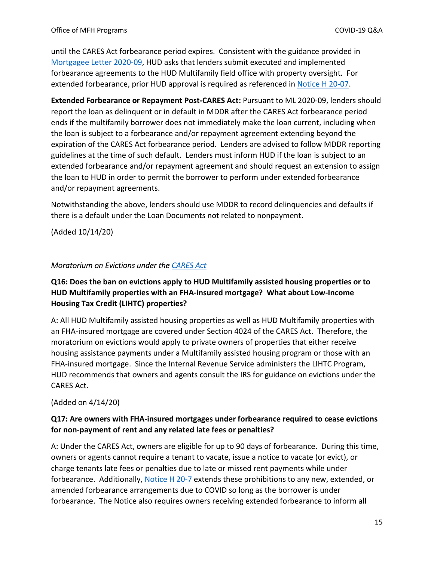until the CARES Act forbearance period expires. Consistent with the guidance provided in [Mortgagee Letter 2020-09,](https://www.hud.gov/sites/dfiles/OCHCO/documents/2020-09hsngml.pdf) HUD asks that lenders submit executed and implemented forbearance agreements to the HUD Multifamily field office with property oversight. For extended forbearance, prior HUD approval is required as referenced in [Notice H 20-07.](https://www.hud.gov/sites/dfiles/OCHCO/documents/20-07hsgn.pdf.pdf)

**Extended Forbearance or Repayment Post-CARES Act:** Pursuant to ML 2020-09, lenders should report the loan as delinquent or in default in MDDR after the CARES Act forbearance period ends if the multifamily borrower does not immediately make the loan current, including when the loan is subject to a forbearance and/or repayment agreement extending beyond the expiration of the CARES Act forbearance period. Lenders are advised to follow MDDR reporting guidelines at the time of such default. Lenders must inform HUD if the loan is subject to an extended forbearance and/or repayment agreement and should request an extension to assign the loan to HUD in order to permit the borrower to perform under extended forbearance and/or repayment agreements.

Notwithstanding the above, lenders should use MDDR to record delinquencies and defaults if there is a default under the Loan Documents not related to nonpayment.

(Added 10/14/20)

#### <span id="page-14-0"></span>*Moratorium on Evictions under the [CARES Act](https://www.congress.gov/bill/116th-congress/house-bill/748/text?q=%7B%22search%22%3A%5B%22H.R.748+-+CARES+Act%22%5D%7D&r=1&s=6)*

### **Q16: Does the ban on evictions apply to HUD Multifamily assisted housing properties or to HUD Multifamily properties with an FHA-insured mortgage? What about Low-Income Housing Tax Credit (LIHTC) properties?**

A: All HUD Multifamily assisted housing properties as well as HUD Multifamily properties with an FHA-insured mortgage are covered under Section 4024 of the CARES Act. Therefore, the moratorium on evictions would apply to private owners of properties that either receive housing assistance payments under a Multifamily assisted housing program or those with an FHA-insured mortgage. Since the Internal Revenue Service administers the LIHTC Program, HUD recommends that owners and agents consult the IRS for guidance on evictions under the CARES Act.

(Added on 4/14/20)

### **Q17: Are owners with FHA-insured mortgages under forbearance required to cease evictions for non-payment of rent and any related late fees or penalties?**

A: Under the CARES Act, owners are eligible for up to 90 days of forbearance. During this time, owners or agents cannot require a tenant to vacate, issue a notice to vacate (or evict), or charge tenants late fees or penalties due to late or missed rent payments while under forbearance. Additionally, [Notice H 20-7](https://www.hud.gov/sites/dfiles/OCHCO/documents/20-07hsgn.pdf.pdf) extends these prohibitions to any new, extended, or amended forbearance arrangements due to COVID so long as the borrower is under forbearance. The Notice also requires owners receiving extended forbearance to inform all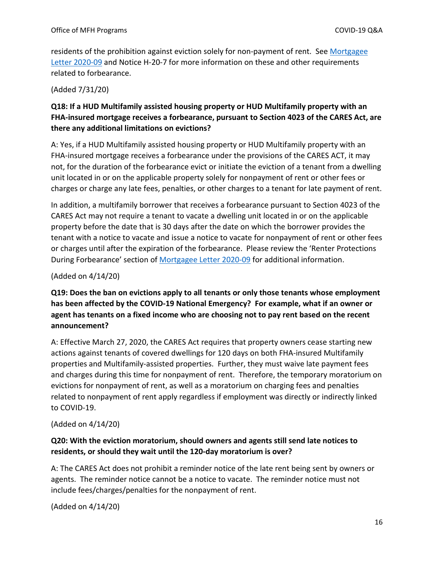residents of the prohibition against eviction solely for non-payment of rent. See [Mortgagee](https://www.hud.gov/sites/dfiles/OCHCO/documents/2020-09hsngml.pdf)  [Letter 2020-09](https://www.hud.gov/sites/dfiles/OCHCO/documents/2020-09hsngml.pdf) and Notice H-20-7 for more information on these and other requirements related to forbearance.

(Added 7/31/20)

# **Q18: If a HUD Multifamily assisted housing property or HUD Multifamily property with an FHA-insured mortgage receives a forbearance, pursuant to Section 4023 of the CARES Act, are there any additional limitations on evictions?**

A: Yes, if a HUD Multifamily assisted housing property or HUD Multifamily property with an FHA-insured mortgage receives a forbearance under the provisions of the CARES ACT, it may not, for the duration of the forbearance evict or initiate the eviction of a tenant from a dwelling unit located in or on the applicable property solely for nonpayment of rent or other fees or charges or charge any late fees, penalties, or other charges to a tenant for late payment of rent.

In addition, a multifamily borrower that receives a forbearance pursuant to Section 4023 of the CARES Act may not require a tenant to vacate a dwelling unit located in or on the applicable property before the date that is 30 days after the date on which the borrower provides the tenant with a notice to vacate and issue a notice to vacate for nonpayment of rent or other fees or charges until after the expiration of the forbearance. Please review the 'Renter Protections During Forbearance' section of [Mortgagee Letter 2020-09](https://www.hud.gov/sites/dfiles/OCHCO/documents/2020-09hsngml.pdf) for additional information.

#### (Added on 4/14/20)

# **Q19: Does the ban on evictions apply to all tenants or only those tenants whose employment has been affected by the COVID-19 National Emergency? For example, what if an owner or agent has tenants on a fixed income who are choosing not to pay rent based on the recent announcement?**

A: Effective March 27, 2020, the CARES Act requires that property owners cease starting new actions against tenants of covered dwellings for 120 days on both FHA-insured Multifamily properties and Multifamily-assisted properties. Further, they must waive late payment fees and charges during this time for nonpayment of rent. Therefore, the temporary moratorium on evictions for nonpayment of rent, as well as a moratorium on charging fees and penalties related to nonpayment of rent apply regardless if employment was directly or indirectly linked to COVID-19.

(Added on 4/14/20)

### **Q20: With the eviction moratorium, should owners and agents still send late notices to residents, or should they wait until the 120-day moratorium is over?**

A: The CARES Act does not prohibit a reminder notice of the late rent being sent by owners or agents. The reminder notice cannot be a notice to vacate. The reminder notice must not include fees/charges/penalties for the nonpayment of rent.

(Added on 4/14/20)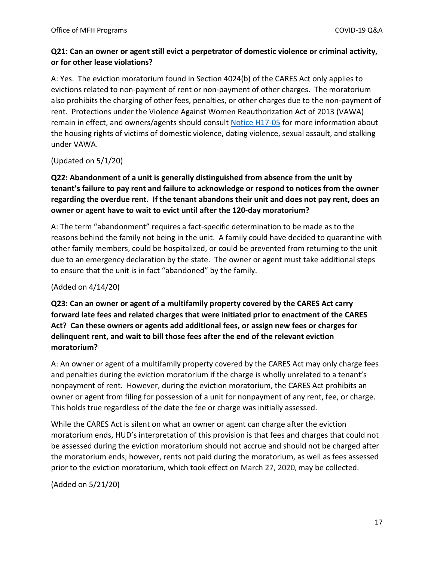### **Q21: Can an owner or agent still evict a perpetrator of domestic violence or criminal activity, or for other lease violations?**

A: Yes. The eviction moratorium found in Section 4024(b) of the CARES Act only applies to evictions related to non-payment of rent or non-payment of other charges. The moratorium also prohibits the charging of other fees, penalties, or other charges due to the non-payment of rent. Protections under the Violence Against Women Reauthorization Act of 2013 (VAWA) remain in effect, and owners/agents should consult [Notice H17-05](https://www.hud.gov/sites/documents/17-05HSGN.PDF) for more information about the housing rights of victims of domestic violence, dating violence, sexual assault, and stalking under VAWA.

(Updated on 5/1/20)

# **Q22: Abandonment of a unit is generally distinguished from absence from the unit by tenant's failure to pay rent and failure to acknowledge or respond to notices from the owner regarding the overdue rent. If the tenant abandons their unit and does not pay rent, does an owner or agent have to wait to evict until after the 120-day moratorium?**

A: The term "abandonment" requires a fact-specific determination to be made as to the reasons behind the family not being in the unit. A family could have decided to quarantine with other family members, could be hospitalized, or could be prevented from returning to the unit due to an emergency declaration by the state. The owner or agent must take additional steps to ensure that the unit is in fact "abandoned" by the family.

#### (Added on 4/14/20)

**Q23: Can an owner or agent of a multifamily property covered by the CARES Act carry forward late fees and related charges that were initiated prior to enactment of the CARES Act? Can these owners or agents add additional fees, or assign new fees or charges for delinquent rent, and wait to bill those fees after the end of the relevant eviction moratorium?** 

A: An owner or agent of a multifamily property covered by the CARES Act may only charge fees and penalties during the eviction moratorium if the charge is wholly unrelated to a tenant's nonpayment of rent. However, during the eviction moratorium, the CARES Act prohibits an owner or agent from filing for possession of a unit for nonpayment of any rent, fee, or charge. This holds true regardless of the date the fee or charge was initially assessed.

While the CARES Act is silent on what an owner or agent can charge after the eviction moratorium ends, HUD's interpretation of this provision is that fees and charges that could not be assessed during the eviction moratorium should not accrue and should not be charged after the moratorium ends; however, rents not paid during the moratorium, as well as fees assessed prior to the eviction moratorium, which took effect on March 27, 2020, may be collected.

(Added on 5/21/20)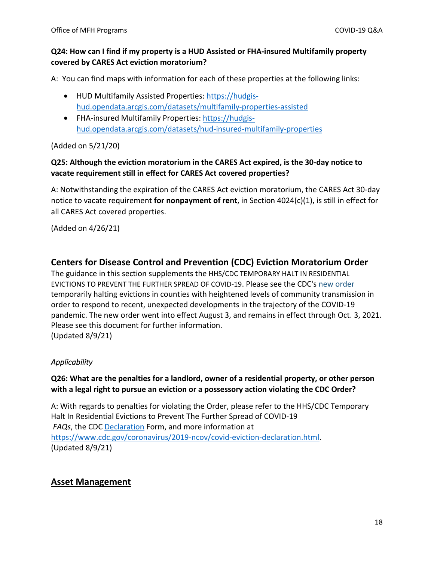### **Q24: How can I find if my property is a HUD Assisted or FHA-insured Multifamily property covered by CARES Act eviction moratorium?**

A: You can find maps with information for each of these properties at the following links:

- HUD Multifamily Assisted Properties: [https://hudgis](https://hudgis-hud.opendata.arcgis.com/datasets/multifamily-properties-assisted)[hud.opendata.arcgis.com/datasets/multifamily-properties-assisted](https://hudgis-hud.opendata.arcgis.com/datasets/multifamily-properties-assisted)
- FHA-insured Multifamily Properties: [https://hudgis](https://hudgis-hud.opendata.arcgis.com/datasets/hud-insured-multifamily-properties)[hud.opendata.arcgis.com/datasets/hud-insured-multifamily-properties](https://hudgis-hud.opendata.arcgis.com/datasets/hud-insured-multifamily-properties)

#### (Added on 5/21/20)

# **Q25: Although the eviction moratorium in the CARES Act expired, is the 30-day notice to vacate requirement still in effect for CARES Act covered properties?**

A: Notwithstanding the expiration of the CARES Act eviction moratorium, the CARES Act 30-day notice to vacate requirement **for nonpayment of rent**, in Section 4024(c)(1), is still in effect for all CARES Act covered properties.

(Added on 4/26/21)

# <span id="page-17-0"></span>**[Centers for Disease Control and Prevention \(CDC\) Eviction Moratorium Order](https://www.cdc.gov/coronavirus/2019-ncov/covid-eviction-declaration.html)**

The guidance in this section supplements the HHS/CDC TEMPORARY HALT IN RESIDENTIAL EVICTIONS TO PREVENT THE FURTHER SPREAD OF COVID-19. Please see the CDC's [new order](https://www.cdc.gov/coronavirus/2019-ncov/covid-eviction-declaration.html?utm_medium=email&utm_source=govdelivery) temporarily halting evictions in counties with heightened levels of community transmission in order to respond to recent, unexpected developments in the trajectory of the COVID-19 pandemic. The new order went into effect August 3, and remains in effect through Oct. 3, 2021. Please see this document for further information. (Updated 8/9/21)

# <span id="page-17-1"></span>*Applicability*

### **Q26: What are the penalties for a landlord, owner of a residential property, or other person with a legal right to pursue an eviction or a possessory action violating the CDC Order?**

A: With regards to penalties for violating the Order, please refer to th[e HHS/CDC Temporary](https://www.cdc.gov/coronavirus/2019-ncov/more/pdf/CDC_Eviction_FAQs_624.pdf?v=1)  [Halt In Residential Evictions to Prevent The Further Spread of COVID-19](https://www.cdc.gov/coronavirus/2019-ncov/more/pdf/CDC_Eviction_FAQs_624.pdf?v=1)  *FAQs*, the CDC [Declaration](https://www.cdc.gov/coronavirus/2019-ncov/communication/EvictionProtectDeclare_508.pdf) Form, and more information at [https://www.cdc.gov/coronavirus/2019-ncov/covid-eviction-declaration.html.](https://www.cdc.gov/coronavirus/2019-ncov/covid-eviction-declaration.html) (Updated 8/9/21)

# <span id="page-17-2"></span>**Asset Management**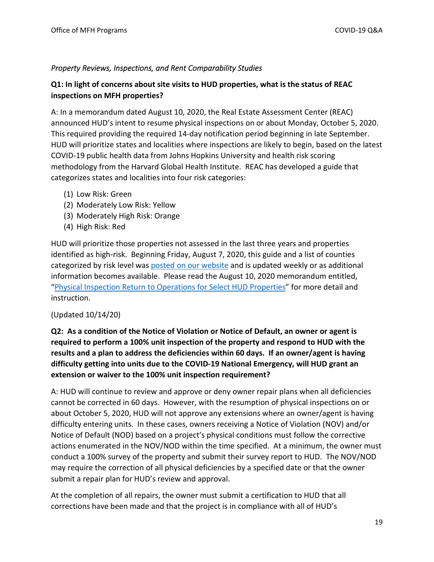#### <span id="page-18-0"></span>*Property Reviews, Inspections, and Rent Comparability Studies*

#### **Q1: In light of concerns about site visits to HUD properties, what is the status of REAC inspections on MFH properties?**

A: In a memorandum dated August 10, 2020, the Real Estate Assessment Center (REAC) announced HUD's intent to resume physical inspections on or about Monday, October 5, 2020. This required providing the required 14-day notification period beginning in late September. HUD will prioritize states and localities where inspections are likely to begin, based on the latest COVID-19 public health data from Johns Hopkins University and health risk scoring methodology from the Harvard Global Health Institute. REAC has developed a guide that categorizes states and localities into four risk categories:

- (1) Low Risk: Green
- (2) Moderately Low Risk: Yellow
- (3) Moderately High Risk: Orange
- (4) High Risk: Red

HUD will prioritize those properties not assessed in the last three years and properties identified as high-risk. Beginning Friday, August 7, 2020, this guide and a list of counties categorized by risk level was [posted on our website](https://www.hud.gov/program_offices/public_indian_housing/reac) and is updated weekly or as additional information becomes available. Please read the August 10, 2020 memorandum entitled, ["Physical Inspection Return to Operations for Select HUD Properties"](https://www.hud.gov/sites/dfiles/PIH/documents/Letter_REAC_DAS_RTO.pdf) for more detail and instruction.

#### (Updated 10/14/20)

# **Q2: As a condition of the Notice of Violation or Notice of Default, an owner or agent is required to perform a 100% unit inspection of the property and respond to HUD with the results and a plan to address the deficiencies within 60 days. If an owner/agent is having difficulty getting into units due to the COVID-19 National Emergency, will HUD grant an extension or waiver to the 100% unit inspection requirement?**

A: HUD will continue to review and approve or deny owner repair plans when all deficiencies cannot be corrected in 60 days. However, with the resumption of physical inspections on or about October 5, 2020, HUD will not approve any extensions where an owner/agent is having difficulty entering units. In these cases, owners receiving a Notice of Violation (NOV) and/or Notice of Default (NOD) based on a project's physical conditions must follow the corrective actions enumerated in the NOV/NOD within the time specified. At a minimum, the owner must conduct a 100% survey of the property and submit their survey report to HUD. The NOV/NOD may require the correction of all physical deficiencies by a specified date or that the owner submit a repair plan for HUD's review and approval.

At the completion of all repairs, the owner must submit a certification to HUD that all corrections have been made and that the project is in compliance with all of HUD's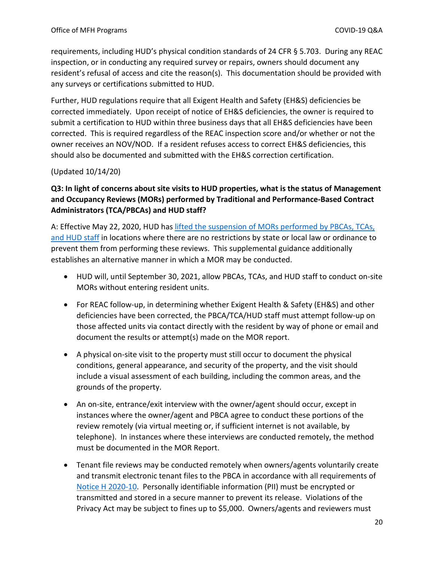requirements, including HUD's physical condition standards of 24 CFR § 5.703. During any REAC inspection, or in conducting any required survey or repairs, owners should document any resident's refusal of access and cite the reason(s). This documentation should be provided with any surveys or certifications submitted to HUD.

Further, HUD regulations require that all Exigent Health and Safety (EH&S) deficiencies be corrected immediately. Upon receipt of notice of EH&S deficiencies, the owner is required to submit a certification to HUD within three business days that all EH&S deficiencies have been corrected. This is required regardless of the REAC inspection score and/or whether or not the owner receives an NOV/NOD. If a resident refuses access to correct EH&S deficiencies, this should also be documented and submitted with the EH&S correction certification.

#### (Updated 10/14/20)

# **Q3: In light of concerns about site visits to HUD properties, what is the status of Management and Occupancy Reviews (MORs) performed by Traditional and Performance-Based Contract Administrators (TCA/PBCAs) and HUD staff?**

A: Effective May 22, 2020, HUD has [lifted the suspension of MORs performed by PBCAs,](https://www.hud.gov/sites/dfiles/Housing/images/OwnerandAgentMemoPBCAMORs6-24-2020.pdf) TCAs, and HUD staff in locations where there are no restrictions by state or local law or ordinance to prevent them from performing these reviews. This supplemental guidance additionally establishes an alternative manner in which a MOR may be conducted.

- HUD will, until September 30, 2021, allow PBCAs, TCAs, and HUD staff to conduct on-site MORs without entering resident units.
- For REAC follow-up, in determining whether Exigent Health & Safety (EH&S) and other deficiencies have been corrected, the PBCA/TCA/HUD staff must attempt follow-up on those affected units via contact directly with the resident by way of phone or email and document the results or attempt(s) made on the MOR report.
- A physical on-site visit to the property must still occur to document the physical conditions, general appearance, and security of the property, and the visit should include a visual assessment of each building, including the common areas, and the grounds of the property.
- An on-site, entrance/exit interview with the owner/agent should occur, except in instances where the owner/agent and PBCA agree to conduct these portions of the review remotely (via virtual meeting or, if sufficient internet is not available, by telephone). In instances where these interviews are conducted remotely, the method must be documented in the MOR Report.
- Tenant file reviews may be conducted remotely when owners/agents voluntarily create and transmit electronic tenant files to the PBCA in accordance with all requirements of [Notice H 2020-10.](https://www.hud.gov/sites/dfiles/OCHCO/documents/2020-10hsgn.pdf) Personally identifiable information (PII) must be encrypted or transmitted and stored in a secure manner to prevent its release. Violations of the Privacy Act may be subject to fines up to \$5,000. Owners/agents and reviewers must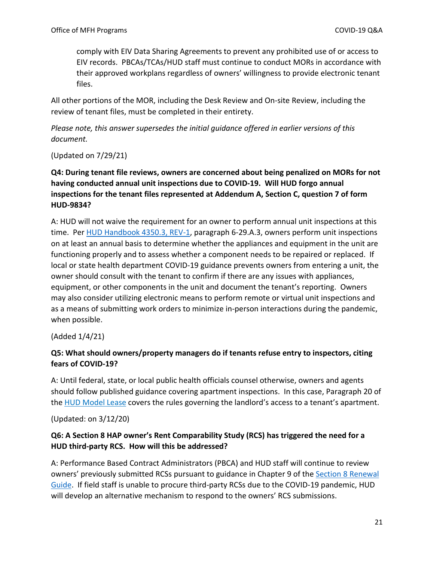comply with EIV Data Sharing Agreements to prevent any prohibited use of or access to EIV records. PBCAs/TCAs/HUD staff must continue to conduct MORs in accordance with their approved workplans regardless of owners' willingness to provide electronic tenant files.

All other portions of the MOR, including the Desk Review and On-site Review, including the review of tenant files, must be completed in their entirety.

*Please note, this answer supersedes the initial guidance offered in earlier versions of this document.*

(Updated on 7/29/21)

# **Q4: During tenant file reviews, owners are concerned about being penalized on MORs for not having conducted annual unit inspections due to COVID-19. Will HUD forgo annual inspections for the tenant files represented at Addendum A, Section C, question 7 of form HUD-9834?**

A: HUD will not waive the requirement for an owner to perform annual unit inspections at this time. Per [HUD Handbook 4350.3, REV-1,](https://www.hud.gov/program_offices/administration/hudclips/handbooks/hsgh/4350.3) paragraph 6-29.A.3, owners perform unit inspections on at least an annual basis to determine whether the appliances and equipment in the unit are functioning properly and to assess whether a component needs to be repaired or replaced. If local or state health department COVID-19 guidance prevents owners from entering a unit, the owner should consult with the tenant to confirm if there are any issues with appliances, equipment, or other components in the unit and document the tenant's reporting. Owners may also consider utilizing electronic means to perform remote or virtual unit inspections and as a means of submitting work orders to minimize in-person interactions during the pandemic, when possible.

(Added 1/4/21)

### **Q5: What should owners/property managers do if tenants refuse entry to inspectors, citing fears of COVID-19?**

A: Until federal, state, or local public health officials counsel otherwise, owners and agents should follow published guidance covering apartment inspections. In this case, Paragraph 20 of the [HUD Model Lease](https://www.hud.gov/sites/dfiles/OCHCO/documents/90105a.pdf) covers the rules governing the landlord's access to a tenant's apartment.

(Updated: on 3/12/20)

### **Q6: A Section 8 HAP owner's Rent Comparability Study (RCS) has triggered the need for a HUD third-party RCS. How will this be addressed?**

A: Performance Based Contract Administrators (PBCA) and HUD staff will continue to review owners' previously submitted RCSs pursuant to guidance in Chapter 9 of the Section 8 Renewal [Guide.](https://www.hud.gov/program_offices/housing/mfh/mfhsec8) If field staff is unable to procure third-party RCSs due to the COVID-19 pandemic, HUD will develop an alternative mechanism to respond to the owners' RCS submissions.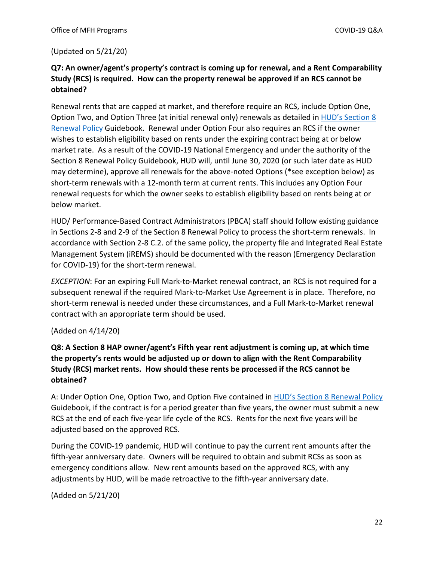#### (Updated on 5/21/20)

### **Q7: An owner/agent's property's contract is coming up for renewal, and a Rent Comparability Study (RCS) is required. How can the property renewal be approved if an RCS cannot be obtained?**

Renewal rents that are capped at market, and therefore require an RCS, include Option One, Option Two, and Option Three (at initial renewal only) renewals as detailed in [HUD's Section 8](https://www.hud.gov/program_offices/housing/mfh/mfhsec8)  [Renewal Policy](https://www.hud.gov/program_offices/housing/mfh/mfhsec8) Guidebook. Renewal under Option Four also requires an RCS if the owner wishes to establish eligibility based on rents under the expiring contract being at or below market rate. As a result of the COVID-19 National Emergency and under the authority of the Section 8 Renewal Policy Guidebook, HUD will, until June 30, 2020 (or such later date as HUD may determine), approve all renewals for the above-noted Options (\*see exception below) as short-term renewals with a 12-month term at current rents. This includes any Option Four renewal requests for which the owner seeks to establish eligibility based on rents being at or below market.

HUD/ Performance-Based Contract Administrators (PBCA) staff should follow existing guidance in Sections 2-8 and 2-9 of the Section 8 Renewal Policy to process the short-term renewals. In accordance with Section 2-8 C.2. of the same policy, the property file and Integrated Real Estate Management System (iREMS) should be documented with the reason (Emergency Declaration for COVID-19) for the short-term renewal.

*EXCEPTION*: For an expiring Full Mark-to-Market renewal contract, an RCS is not required for a subsequent renewal if the required Mark-to-Market Use Agreement is in place. Therefore, no short-term renewal is needed under these circumstances, and a Full Mark-to-Market renewal contract with an appropriate term should be used.

#### (Added on 4/14/20)

# **Q8: A Section 8 HAP owner/agent's Fifth year rent adjustment is coming up, at which time the property's rents would be adjusted up or down to align with the Rent Comparability Study (RCS) market rents. How should these rents be processed if the RCS cannot be obtained?**

A: Under Option One, Option Two, and Option Five contained in **HUD's Section 8 Renewal Policy** Guidebook, if the contract is for a period greater than five years, the owner must submit a new RCS at the end of each five-year life cycle of the RCS. Rents for the next five years will be adjusted based on the approved RCS.

During the COVID-19 pandemic, HUD will continue to pay the current rent amounts after the fifth-year anniversary date. Owners will be required to obtain and submit RCSs as soon as emergency conditions allow. New rent amounts based on the approved RCS, with any adjustments by HUD, will be made retroactive to the fifth-year anniversary date.

(Added on 5/21/20)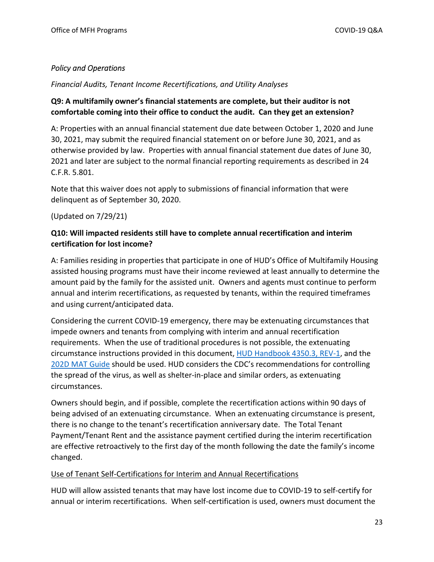### <span id="page-22-0"></span>*Policy and Operations*

<span id="page-22-1"></span>*Financial Audits, Tenant Income Recertifications, and Utility Analyses* 

# **Q9: A multifamily owner's financial statements are complete, but their auditor is not comfortable coming into their office to conduct the audit. Can they get an extension?**

A: Properties with an annual financial statement due date between October 1, 2020 and June 30, 2021, may submit the required financial statement on or before June 30, 2021, and as otherwise provided by law. Properties with annual financial statement due dates of June 30, 2021 and later are subject to the normal financial reporting requirements as described in 24 C.F.R. 5.801.

Note that this waiver does not apply to submissions of financial information that were delinquent as of September 30, 2020.

### (Updated on 7/29/21)

### **Q10: Will impacted residents still have to complete annual recertification and interim certification for lost income?**

A: Families residing in properties that participate in one of HUD's Office of Multifamily Housing assisted housing programs must have their income reviewed at least annually to determine the amount paid by the family for the assisted unit. Owners and agents must continue to perform annual and interim recertifications, as requested by tenants, within the required timeframes and using current/anticipated data.

Considering the current COVID-19 emergency, there may be extenuating circumstances that impede owners and tenants from complying with interim and annual recertification requirements. When the use of traditional procedures is not possible, the extenuating circumstance instructions provided in this document, [HUD Handbook 4350.3, REV-1,](https://www.hud.gov/program_offices/administration/hudclips/handbooks/hsgh/4350.3) and the [202D MAT Guide](https://www.hud.gov/program_offices/housing/mfh/trx/trxdocs) should be used. HUD considers the CDC's recommendations for controlling the spread of the virus, as well as shelter-in-place and similar orders, as extenuating circumstances.

Owners should begin, and if possible, complete the recertification actions within 90 days of being advised of an extenuating circumstance. When an extenuating circumstance is present, there is no change to the tenant's recertification anniversary date. The Total Tenant Payment/Tenant Rent and the assistance payment certified during the interim recertification are effective retroactively to the first day of the month following the date the family's income changed.

#### Use of Tenant Self-Certifications for Interim and Annual Recertifications

HUD will allow assisted tenants that may have lost income due to COVID-19 to self-certify for annual or interim recertifications. When self-certification is used, owners must document the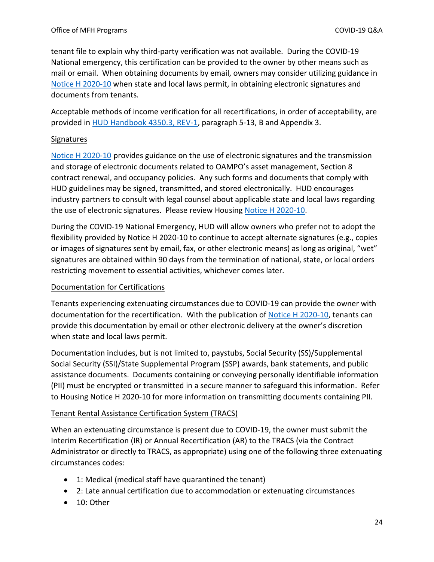tenant file to explain why third-party verification was not available. During the COVID-19 National emergency, this certification can be provided to the owner by other means such as mail or email. When obtaining documents by email, owners may consider utilizing guidance in [Notice H 2020-10](https://www.hud.gov/sites/dfiles/OCHCO/documents/2020-10hsgn.pdf) when state and local laws permit, in obtaining electronic signatures and documents from tenants.

Acceptable methods of income verification for all recertifications, in order of acceptability, are provided in [HUD Handbook 4350.3, REV-1,](https://www.hud.gov/program_offices/administration/hudclips/handbooks/hsgh/4350.3) paragraph 5-13, B and Appendix 3.

#### **Signatures**

[Notice H 2020-10](https://www.hud.gov/sites/dfiles/OCHCO/documents/2020-10hsgn.pdf) provides guidance on the use of electronic signatures and the transmission and storage of electronic documents related to OAMPO's asset management, Section 8 contract renewal, and occupancy policies. Any such forms and documents that comply with HUD guidelines may be signed, transmitted, and stored electronically. HUD encourages industry partners to consult with legal counsel about applicable state and local laws regarding the use of electronic signatures. Please review Housing [Notice H 2020-10.](https://www.hud.gov/sites/dfiles/OCHCO/documents/2020-10hsgn.pdf)

During the COVID-19 National Emergency, HUD will allow owners who prefer not to adopt the flexibility provided by Notice H 2020-10 to continue to accept alternate signatures (e.g., copies or images of signatures sent by email, fax, or other electronic means) as long as original, "wet" signatures are obtained within 90 days from the termination of national, state, or local orders restricting movement to essential activities, whichever comes later.

#### Documentation for Certifications

Tenants experiencing extenuating circumstances due to COVID-19 can provide the owner with documentation for the recertification. With the publication of [Notice H 2020-10,](https://www.hud.gov/sites/dfiles/OCHCO/documents/2020-10hsgn.pdf) tenants can provide this documentation by email or other electronic delivery at the owner's discretion when state and local laws permit.

Documentation includes, but is not limited to, paystubs, Social Security (SS)/Supplemental Social Security (SSI)/State Supplemental Program (SSP) awards, bank statements, and public assistance documents. Documents containing or conveying personally identifiable information (PII) must be encrypted or transmitted in a secure manner to safeguard this information. Refer to Housing Notice H 2020-10 for more information on transmitting documents containing PII.

#### Tenant Rental Assistance Certification System (TRACS)

When an extenuating circumstance is present due to COVID-19, the owner must submit the Interim Recertification (IR) or Annual Recertification (AR) to the TRACS (via the Contract Administrator or directly to TRACS, as appropriate) using one of the following three extenuating circumstances codes:

- 1: Medical (medical staff have quarantined the tenant)
- 2: Late annual certification due to accommodation or extenuating circumstances
- 10: Other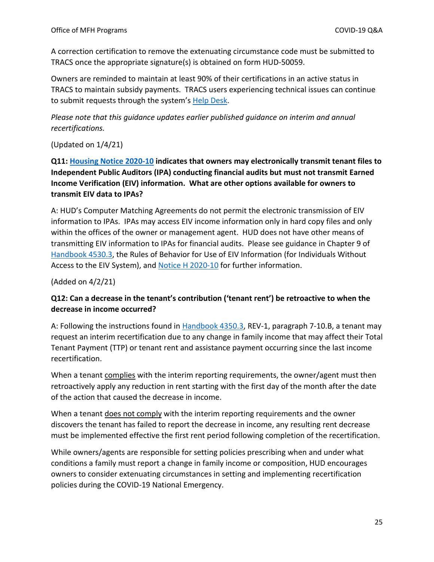A correction certification to remove the extenuating circumstance code must be submitted to TRACS once the appropriate signature(s) is obtained on form HUD-50059.

Owners are reminded to maintain at least 90% of their certifications in an active status in TRACS to maintain subsidy payments. TRACS users experiencing technical issues can continue to submit requests through the system's [Help Desk.](https://www.hud.gov/program_offices/housing/mfh/trx/trxsum)

*Please note that this guidance updates earlier published guidance on interim and annual recertifications.* 

(Updated on 1/4/21)

**Q11: [Housing Notice 2020-10](https://www.hud.gov/sites/dfiles/OCHCO/documents/2020-10hsgn.pdf) indicates that owners may electronically transmit tenant files to Independent Public Auditors (IPA) conducting financial audits but must not transmit Earned Income Verification (EIV) information. What are other options available for owners to transmit EIV data to IPAs?**

A: HUD's Computer Matching Agreements do not permit the electronic transmission of EIV information to IPAs. IPAs may access EIV income information only in hard copy files and only within the offices of the owner or management agent. HUD does not have other means of transmitting EIV information to IPAs for financial audits. Please see guidance in Chapter 9 of [Handbook 4530.3,](https://www.hud.gov/program_offices/administration/hudclips/handbooks/hsgh/4350.3) the Rules of Behavior for Use of EIV Information (for Individuals Without Access to the EIV System), and [Notice H 2020-10](https://www.hud.gov/sites/dfiles/OCHCO/documents/2020-10hsgn.pdf) for further information.

(Added on 4/2/21)

### **Q12: Can a decrease in the tenant's contribution ('tenant rent') be retroactive to when the decrease in income occurred?**

A: Following the instructions found in [Handbook 4350.3,](https://www.hud.gov/program_offices/administration/hudclips/handbooks/hsgh/4350.3) REV-1, paragraph 7-10.B, a tenant may request an interim recertification due to any change in family income that may affect their Total Tenant Payment (TTP) or tenant rent and assistance payment occurring since the last income recertification.

When a tenant complies with the interim reporting requirements, the owner/agent must then retroactively apply any reduction in rent starting with the first day of the month after the date of the action that caused the decrease in income.

When a tenant does not comply with the interim reporting requirements and the owner discovers the tenant has failed to report the decrease in income, any resulting rent decrease must be implemented effective the first rent period following completion of the recertification.

While owners/agents are responsible for setting policies prescribing when and under what conditions a family must report a change in family income or composition, HUD encourages owners to consider extenuating circumstances in setting and implementing recertification policies during the COVID-19 National Emergency.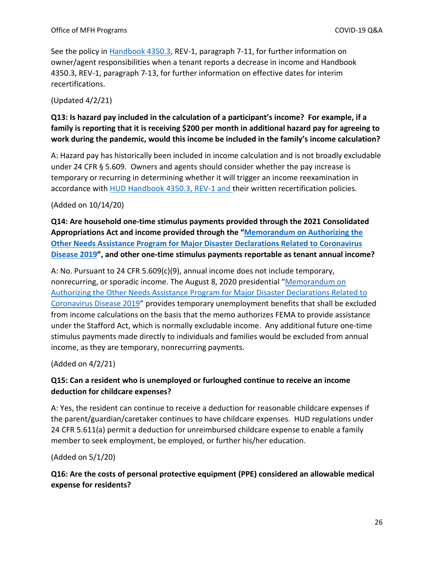See the policy in [Handbook 4350.3,](https://www.hud.gov/program_offices/administration/hudclips/handbooks/hsgh/4350.3) REV-1, paragraph 7-11, for further information on owner/agent responsibilities when a tenant reports a decrease in income and Handbook 4350.3, REV-1, paragraph 7-13, for further information on effective dates for interim recertifications.

(Updated 4/2/21)

# **Q13: Is hazard pay included in the calculation of a participant's income? For example, if a family is reporting that it is receiving \$200 per month in additional hazard pay for agreeing to work during the pandemic, would this income be included in the family's income calculation?**

A: Hazard pay has historically been included in income calculation and is not broadly excludable under 24 CFR § 5.609. Owners and agents should consider whether the pay increase is temporary or recurring in determining whether it will trigger an income reexamination in accordance with [HUD Handbook 4350.3, REV-1](https://www.hud.gov/program_offices/administration/hudclips/handbooks/hsgh/4350.3) and their written recertification policies.

#### (Added on 10/14/20)

**Q14: Are household one-time stimulus payments provided through the 2021 Consolidated Appropriations Act and income provided through the ["Memorandum on Authorizing the](https://trumpwhitehouse.archives.gov/presidential-actions/memorandum-authorizing-needs-assistance-program-major-disaster-declarations-related-coronavirus-disease-2019/)  [Other Needs Assistance Program for Major Disaster Declarations Related to Coronavirus](https://trumpwhitehouse.archives.gov/presidential-actions/memorandum-authorizing-needs-assistance-program-major-disaster-declarations-related-coronavirus-disease-2019/)  [Disease 2019"](https://trumpwhitehouse.archives.gov/presidential-actions/memorandum-authorizing-needs-assistance-program-major-disaster-declarations-related-coronavirus-disease-2019/), and other one-time stimulus payments reportable as tenant annual income?** 

A: No. Pursuant to 24 CFR 5.609(c)(9), annual income does not include temporary, nonrecurring, or sporadic income. The August 8, 2020 presidential ["Memorandum on](https://trumpwhitehouse.archives.gov/presidential-actions/memorandum-authorizing-needs-assistance-program-major-disaster-declarations-related-coronavirus-disease-2019/)  [Authorizing the Other Needs Assistance Program for Major Disaster Declarations Related to](https://trumpwhitehouse.archives.gov/presidential-actions/memorandum-authorizing-needs-assistance-program-major-disaster-declarations-related-coronavirus-disease-2019/)  [Coronavirus Disease 2019"](https://trumpwhitehouse.archives.gov/presidential-actions/memorandum-authorizing-needs-assistance-program-major-disaster-declarations-related-coronavirus-disease-2019/) provides temporary unemployment benefits that shall be excluded from income calculations on the basis that the memo authorizes FEMA to provide assistance under the Stafford Act, which is normally excludable income. Any additional future one-time stimulus payments made directly to individuals and families would be excluded from annual income, as they are temporary, nonrecurring payments.

(Added on 4/2/21)

# **Q15: Can a resident who is unemployed or furloughed continue to receive an income deduction for childcare expenses?**

A: Yes, the resident can continue to receive a deduction for reasonable childcare expenses if the parent/guardian/caretaker continues to have childcare expenses. HUD regulations under 24 CFR 5.611(a) permit a deduction for unreimbursed childcare expense to enable a family member to seek employment, be employed, or further his/her education.

(Added on 5/1/20)

**Q16: Are the costs of personal protective equipment (PPE) considered an allowable medical expense for residents?**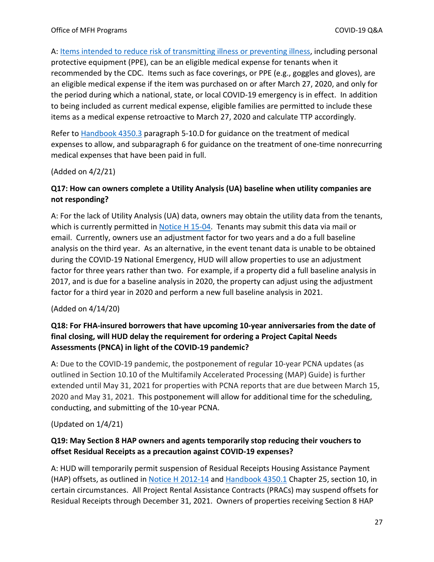A: [Items intended to reduce risk of transmitting illness or preventing illness,](https://www.cdc.gov/coronavirus/2019-ncov/prevent-getting-sick/prevention.html) including personal protective equipment (PPE), can be an eligible medical expense for tenants when it recommended by the CDC. Items such as face coverings, or PPE (e.g., goggles and gloves), are an eligible medical expense if the item was purchased on or after March 27, 2020, and only for the period during which a national, state, or local COVID-19 emergency is in effect. In addition to being included as current medical expense, eligible families are permitted to include these items as a medical expense retroactive to March 27, 2020 and calculate TTP accordingly.

Refer to [Handbook 4350.3](https://www.hud.gov/program_offices/administration/hudclips/handbooks/hsgh/4350.3) paragraph 5-10.D for guidance on the treatment of medical expenses to allow, and subparagraph 6 for guidance on the treatment of one-time nonrecurring medical expenses that have been paid in full.

(Added on 4/2/21)

### **Q17: How can owners complete a Utility Analysis (UA) baseline when utility companies are not responding?**

A: For the lack of Utility Analysis (UA) data, owners may obtain the utility data from the tenants, which is currently permitted in [Notice H 15-04.](https://www.hud.gov/sites/documents/15-04HSGN.PDF) Tenants may submit this data via mail or email. Currently, owners use an adjustment factor for two years and a do a full baseline analysis on the third year. As an alternative, in the event tenant data is unable to be obtained during the COVID-19 National Emergency, HUD will allow properties to use an adjustment factor for three years rather than two. For example, if a property did a full baseline analysis in 2017, and is due for a baseline analysis in 2020, the property can adjust using the adjustment factor for a third year in 2020 and perform a new full baseline analysis in 2021.

#### (Added on 4/14/20)

### **Q18: For FHA-insured borrowers that have upcoming 10-year anniversaries from the date of final closing, will HUD delay the requirement for ordering a Project Capital Needs Assessments (PNCA) in light of the COVID-19 pandemic?**

A: Due to the COVID-19 pandemic, the postponement of regular 10-year PCNA updates (as outlined in Section 10.10 of the Multifamily Accelerated Processing (MAP) Guide) is further extended until May 31, 2021 for properties with PCNA reports that are due between March 15, 2020 and May 31, 2021. This postponement will allow for additional time for the scheduling, conducting, and submitting of the 10-year PCNA.

(Updated on 1/4/21)

### **Q19: May Section 8 HAP owners and agents temporarily stop reducing their vouchers to offset Residual Receipts as a precaution against COVID-19 expenses?**

A: HUD will temporarily permit suspension of Residual Receipts Housing Assistance Payment (HAP) offsets, as outlined i[n Notice H 2012-14](https://www.hud.gov/sites/documents/12-14HSGN.PDF) and [Handbook 4350.1](https://www.hud.gov/program_offices/administration/hudclips/handbooks/hsgh/4350.1) Chapter 25, section 10, in certain circumstances. All Project Rental Assistance Contracts (PRACs) may suspend offsets for Residual Receipts through December 31, 2021. Owners of properties receiving Section 8 HAP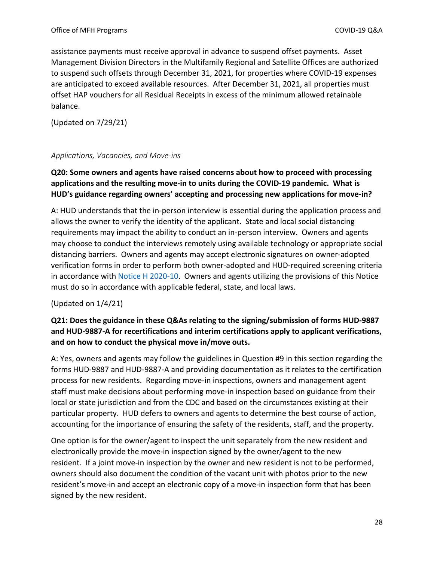assistance payments must receive approval in advance to suspend offset payments. Asset Management Division Directors in the Multifamily Regional and Satellite Offices are authorized to suspend such offsets through December 31, 2021, for properties where COVID-19 expenses are anticipated to exceed available resources. After December 31, 2021, all properties must offset HAP vouchers for all Residual Receipts in excess of the minimum allowed retainable balance.

(Updated on 7/29/21)

#### <span id="page-27-0"></span>*Applications, Vacancies, and Move-ins*

# **Q20: Some owners and agents have raised concerns about how to proceed with processing applications and the resulting move-in to units during the COVID-19 pandemic. What is HUD's guidance regarding owners' accepting and processing new applications for move-in?**

A: HUD understands that the in-person interview is essential during the application process and allows the owner to verify the identity of the applicant. State and local social distancing requirements may impact the ability to conduct an in-person interview. Owners and agents may choose to conduct the interviews remotely using available technology or appropriate social distancing barriers. Owners and agents may accept electronic signatures on owner-adopted verification forms in order to perform both owner-adopted and HUD-required screening criteria in accordance with [Notice H 2020-10.](https://www.hud.gov/sites/dfiles/OCHCO/documents/2020-10hsgn.pdf) Owners and agents utilizing the provisions of this Notice must do so in accordance with applicable federal, state, and local laws.

#### (Updated on 1/4/21)

# **Q21: Does the guidance in these Q&As relating to the signing/submission of forms HUD-9887 and HUD-9887-A for recertifications and interim certifications apply to applicant verifications, and on how to conduct the physical move in/move outs.**

A: Yes, owners and agents may follow the guidelines in Question #9 in this section regarding the forms HUD-9887 and HUD-9887-A and providing documentation as it relates to the certification process for new residents. Regarding move-in inspections, owners and management agent staff must make decisions about performing move-in inspection based on guidance from their local or state jurisdiction and from the CDC and based on the circumstances existing at their particular property. HUD defers to owners and agents to determine the best course of action, accounting for the importance of ensuring the safety of the residents, staff, and the property.

One option is for the owner/agent to inspect the unit separately from the new resident and electronically provide the move-in inspection signed by the owner/agent to the new resident. If a joint move-in inspection by the owner and new resident is not to be performed, owners should also document the condition of the vacant unit with photos prior to the new resident's move-in and accept an electronic copy of a move-in inspection form that has been signed by the new resident.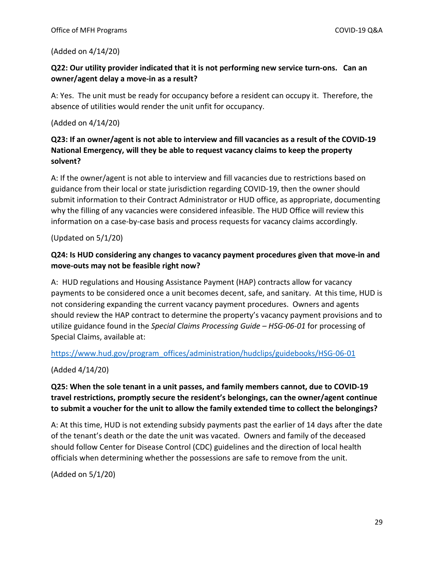#### (Added on 4/14/20)

#### **Q22: Our utility provider indicated that it is not performing new service turn-ons. Can an owner/agent delay a move-in as a result?**

A: Yes. The unit must be ready for occupancy before a resident can occupy it. Therefore, the absence of utilities would render the unit unfit for occupancy.

#### (Added on 4/14/20)

# **Q23: If an owner/agent is not able to interview and fill vacancies as a result of the COVID-19 National Emergency, will they be able to request vacancy claims to keep the property solvent?**

A: If the owner/agent is not able to interview and fill vacancies due to restrictions based on guidance from their local or state jurisdiction regarding COVID-19, then the owner should submit information to their Contract Administrator or HUD office, as appropriate, documenting why the filling of any vacancies were considered infeasible. The HUD Office will review this information on a case-by-case basis and process requests for vacancy claims accordingly.

(Updated on 5/1/20)

### **Q24: Is HUD considering any changes to vacancy payment procedures given that move-in and move-outs may not be feasible right now?**

A: HUD regulations and Housing Assistance Payment (HAP) contracts allow for vacancy payments to be considered once a unit becomes decent, safe, and sanitary. At this time, HUD is not considering expanding the current vacancy payment procedures. Owners and agents should review the HAP contract to determine the property's vacancy payment provisions and to utilize guidance found in the *Special Claims Processing Guide – HSG-06-01* for processing of Special Claims, available at:

#### [https://www.hud.gov/program\\_offices/administration/hudclips/guidebooks/HSG-06-01](https://www.hud.gov/program_offices/administration/hudclips/guidebooks/HSG-06-01)

(Added 4/14/20)

### **Q25: When the sole tenant in a unit passes, and family members cannot, due to COVID-19 travel restrictions, promptly secure the resident's belongings, can the owner/agent continue to submit a voucher for the unit to allow the family extended time to collect the belongings?**

A: At this time, HUD is not extending subsidy payments past the earlier of 14 days after the date of the tenant's death or the date the unit was vacated. Owners and family of the deceased should follow Center for Disease Control (CDC) guidelines and the direction of local health officials when determining whether the possessions are safe to remove from the unit.

(Added on 5/1/20)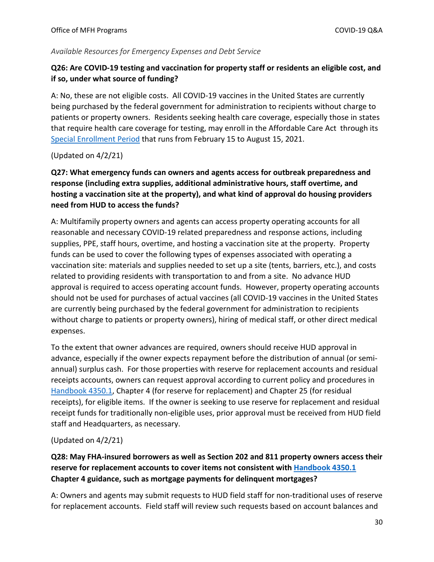#### <span id="page-29-0"></span>*Available Resources for Emergency Expenses and Debt Service*

#### **Q26: Are COVID-19 testing and vaccination for property staff or residents an eligible cost, and if so, under what source of funding?**

A: No, these are not eligible costs. All COVID-19 vaccines in the United States are currently being purchased by the federal government for administration to recipients without charge to patients or property owners. Residents seeking health care coverage, especially those in states that require health care coverage for testing, may enroll in the Affordable Care Act through its [Special Enrollment Period](https://www.healthcare.gov/coverage-outside-open-enrollment/special-enrollment-period/) that runs from February 15 to August 15, 2021.

#### (Updated on 4/2/21)

**Q27: What emergency funds can owners and agents access for outbreak preparedness and response (including extra supplies, additional administrative hours, staff overtime, and hosting a vaccination site at the property), and what kind of approval do housing providers need from HUD to access the funds?** 

A: Multifamily property owners and agents can access property operating accounts for all reasonable and necessary COVID-19 related preparedness and response actions, including supplies, PPE, staff hours, overtime, and hosting a vaccination site at the property. Property funds can be used to cover the following types of expenses associated with operating a vaccination site: materials and supplies needed to set up a site (tents, barriers, etc.), and costs related to providing residents with transportation to and from a site. No advance HUD approval is required to access operating account funds. However, property operating accounts should not be used for purchases of actual vaccines (all COVID-19 vaccines in the United States are currently being purchased by the federal government for administration to recipients without charge to patients or property owners), hiring of medical staff, or other direct medical expenses.

To the extent that owner advances are required, owners should receive HUD approval in advance, especially if the owner expects repayment before the distribution of annual (or semiannual) surplus cash. For those properties with reserve for replacement accounts and residual receipts accounts, owners can request approval according to current policy and procedures in [Handbook 4350.1,](https://www.hud.gov/program_offices/administration/hudclips/handbooks/hsgh/4350.1) Chapter 4 (for reserve for replacement) and Chapter 25 (for residual receipts), for eligible items. If the owner is seeking to use reserve for replacement and residual receipt funds for traditionally non-eligible uses, prior approval must be received from HUD field staff and Headquarters, as necessary.

#### (Updated on 4/2/21)

**Q28: May FHA-insured borrowers as well as Section 202 and 811 property owners access their reserve for replacement accounts to cover items not consistent with [Handbook 4350.1](https://www.hud.gov/program_offices/administration/hudclips/handbooks/hsgh/4350.1) Chapter 4 guidance, such as mortgage payments for delinquent mortgages?** 

A: Owners and agents may submit requests to HUD field staff for non-traditional uses of reserve for replacement accounts. Field staff will review such requests based on account balances and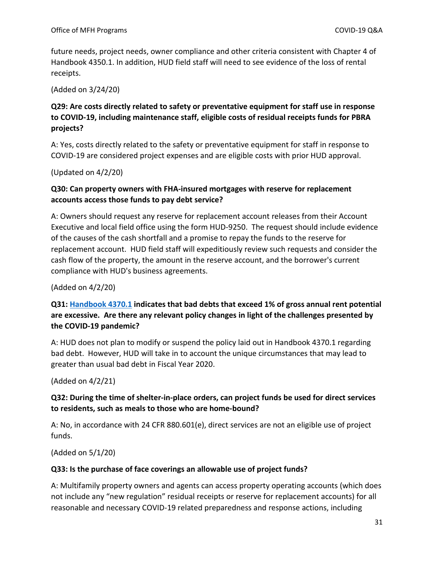future needs, project needs, owner compliance and other criteria consistent with Chapter 4 of Handbook 4350.1. In addition, HUD field staff will need to see evidence of the loss of rental receipts.

(Added on 3/24/20)

# **Q29: Are costs directly related to safety or preventative equipment for staff use in response to COVID-19, including maintenance staff, eligible costs of residual receipts funds for PBRA projects?**

A: Yes, costs directly related to the safety or preventative equipment for staff in response to COVID-19 are considered project expenses and are eligible costs with prior HUD approval.

(Updated on 4/2/20)

#### **Q30: Can property owners with FHA-insured mortgages with reserve for replacement accounts access those funds to pay debt service?**

A: Owners should request any reserve for replacement account releases from their Account Executive and local field office using the form HUD-9250. The request should include evidence of the causes of the cash shortfall and a promise to repay the funds to the reserve for replacement account. HUD field staff will expeditiously review such requests and consider the cash flow of the property, the amount in the reserve account, and the borrower's current compliance with HUD's business agreements.

#### (Added on 4/2/20)

# **Q31: [Handbook 4370.1](https://www.hud.gov/program_offices/administration/hudclips/handbooks/hsgh/43701) indicates that bad debts that exceed 1% of gross annual rent potential are excessive. Are there any relevant policy changes in light of the challenges presented by the COVID-19 pandemic?**

A: HUD does not plan to modify or suspend the policy laid out in Handbook 4370.1 regarding bad debt. However, HUD will take in to account the unique circumstances that may lead to greater than usual bad debt in Fiscal Year 2020.

(Added on 4/2/21)

### **Q32: During the time of shelter-in-place orders, can project funds be used for direct services to residents, such as meals to those who are home-bound?**

A: No, in accordance with 24 CFR 880.601(e), direct services are not an eligible use of project funds.

(Added on 5/1/20)

#### **Q33: Is the purchase of face coverings an allowable use of project funds?**

A: Multifamily property owners and agents can access property operating accounts (which does not include any "new regulation" residual receipts or reserve for replacement accounts) for all reasonable and necessary COVID-19 related preparedness and response actions, including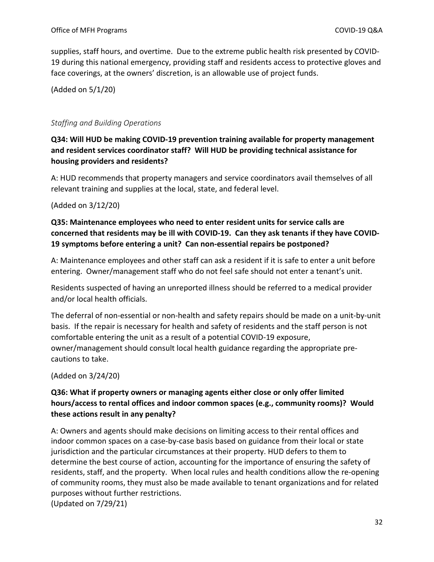supplies, staff hours, and overtime. Due to the extreme public health risk presented by COVID-19 during this national emergency, providing staff and residents access to protective gloves and face coverings, at the owners' discretion, is an allowable use of project funds.

(Added on 5/1/20)

#### <span id="page-31-0"></span>*Staffing and Building Operations*

### **Q34: Will HUD be making COVID-19 prevention training available for property management and resident services coordinator staff? Will HUD be providing technical assistance for housing providers and residents?**

A: HUD recommends that property managers and service coordinators avail themselves of all relevant training and supplies at the local, state, and federal level.

#### (Added on 3/12/20)

### **Q35: Maintenance employees who need to enter resident units for service calls are concerned that residents may be ill with COVID-19. Can they ask tenants if they have COVID-19 symptoms before entering a unit? Can non-essential repairs be postponed?**

A: Maintenance employees and other staff can ask a resident if it is safe to enter a unit before entering. Owner/management staff who do not feel safe should not enter a tenant's unit.

Residents suspected of having an unreported illness should be referred to a medical provider and/or local health officials.

The deferral of non-essential or non-health and safety repairs should be made on a unit-by-unit basis. If the repair is necessary for health and safety of residents and the staff person is not comfortable entering the unit as a result of a potential COVID-19 exposure, owner/management should consult local health guidance regarding the appropriate precautions to take.

(Added on 3/24/20)

### **Q36: What if property owners or managing agents either close or only offer limited hours/access to rental offices and indoor common spaces (e.g., community rooms)? Would these actions result in any penalty?**

A: Owners and agents should make decisions on limiting access to their rental offices and indoor common spaces on a case-by-case basis based on guidance from their local or state jurisdiction and the particular circumstances at their property. HUD defers to them to determine the best course of action, accounting for the importance of ensuring the safety of residents, staff, and the property. When local rules and health conditions allow the re-opening of community rooms, they must also be made available to tenant organizations and for related purposes without further restrictions. (Updated on 7/29/21)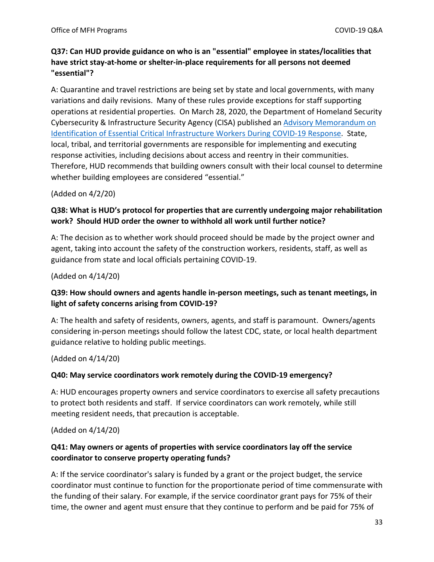# **Q37: Can HUD provide guidance on who is an "essential" employee in states/localities that have strict stay-at-home or shelter-in-place requirements for all persons not deemed "essential"?**

A: Quarantine and travel restrictions are being set by state and local governments, with many variations and daily revisions. Many of these rules provide exceptions for staff supporting operations at residential properties. On March 28, 2020, the Department of Homeland Security Cybersecurity & Infrastructure Security Agency (CISA) published an [Advisory Memorandum on](https://www.cisa.gov/publication/guidance-essential-critical-infrastructure-workforce#download)  [Identification of Essential Critical Infrastructure Workers During COVID-19 Response.](https://www.cisa.gov/publication/guidance-essential-critical-infrastructure-workforce#download) State, local, tribal, and territorial governments are responsible for implementing and executing response activities, including decisions about access and reentry in their communities. Therefore, HUD recommends that building owners consult with their local counsel to determine whether building employees are considered "essential."

#### (Added on 4/2/20)

### **Q38: What is HUD's protocol for properties that are currently undergoing major rehabilitation work? Should HUD order the owner to withhold all work until further notice?**

A: The decision as to whether work should proceed should be made by the project owner and agent, taking into account the safety of the construction workers, residents, staff, as well as guidance from state and local officials pertaining COVID-19.

(Added on 4/14/20)

### **Q39: How should owners and agents handle in-person meetings, such as tenant meetings, in light of safety concerns arising from COVID-19?**

A: The health and safety of residents, owners, agents, and staff is paramount. Owners/agents considering in-person meetings should follow the latest CDC, state, or local health department guidance relative to holding public meetings.

(Added on 4/14/20)

#### **Q40: May service coordinators work remotely during the COVID-19 emergency?**

A: HUD encourages property owners and service coordinators to exercise all safety precautions to protect both residents and staff. If service coordinators can work remotely, while still meeting resident needs, that precaution is acceptable.

(Added on 4/14/20)

### **Q41: May owners or agents of properties with service coordinators lay off the service coordinator to conserve property operating funds?**

A: If the service coordinator's salary is funded by a grant or the project budget, the service coordinator must continue to function for the proportionate period of time commensurate with the funding of their salary. For example, if the service coordinator grant pays for 75% of their time, the owner and agent must ensure that they continue to perform and be paid for 75% of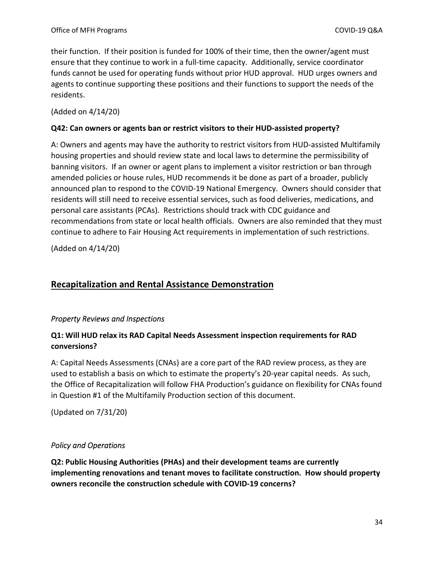their function. If their position is funded for 100% of their time, then the owner/agent must ensure that they continue to work in a full-time capacity. Additionally, service coordinator funds cannot be used for operating funds without prior HUD approval. HUD urges owners and agents to continue supporting these positions and their functions to support the needs of the residents.

#### (Added on 4/14/20)

#### **Q42: Can owners or agents ban or restrict visitors to their HUD-assisted property?**

A: Owners and agents may have the authority to restrict visitors from HUD-assisted Multifamily housing properties and should review state and local laws to determine the permissibility of banning visitors. If an owner or agent plans to implement a visitor restriction or ban through amended policies or house rules, HUD recommends it be done as part of a broader, publicly announced plan to respond to the COVID-19 National Emergency. Owners should consider that residents will still need to receive essential services, such as food deliveries, medications, and personal care assistants (PCAs). Restrictions should track with CDC guidance and recommendations from state or local health officials. Owners are also reminded that they must continue to adhere to Fair Housing Act requirements in implementation of such restrictions.

(Added on 4/14/20)

# <span id="page-33-0"></span>**Recapitalization and Rental Assistance Demonstration**

#### <span id="page-33-1"></span>*Property Reviews and Inspections*

#### **Q1: Will HUD relax its RAD Capital Needs Assessment inspection requirements for RAD conversions?**

A: Capital Needs Assessments (CNAs) are a core part of the RAD review process, as they are used to establish a basis on which to estimate the property's 20-year capital needs. As such, the Office of Recapitalization will follow FHA Production's guidance on flexibility for CNAs found in Question #1 of the Multifamily Production section of this document.

(Updated on 7/31/20)

#### <span id="page-33-2"></span>*Policy and Operations*

**Q2: Public Housing Authorities (PHAs) and their development teams are currently implementing renovations and tenant moves to facilitate construction. How should property owners reconcile the construction schedule with COVID-19 concerns?**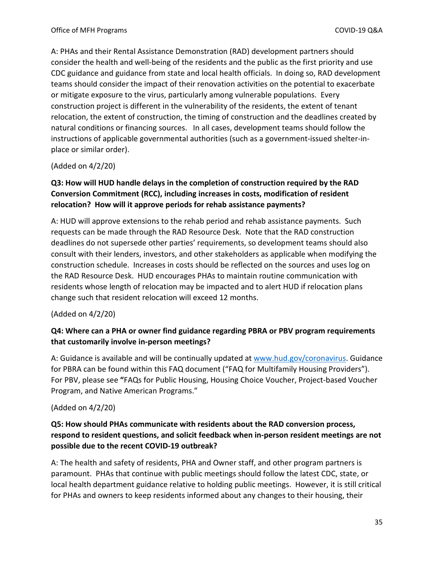A: PHAs and their Rental Assistance Demonstration (RAD) development partners should consider the health and well-being of the residents and the public as the first priority and use CDC guidance and guidance from state and local health officials. In doing so, RAD development teams should consider the impact of their renovation activities on the potential to exacerbate or mitigate exposure to the virus, particularly among vulnerable populations. Every construction project is different in the vulnerability of the residents, the extent of tenant relocation, the extent of construction, the timing of construction and the deadlines created by natural conditions or financing sources. In all cases, development teams should follow the instructions of applicable governmental authorities (such as a government-issued shelter-inplace or similar order).

(Added on 4/2/20)

# **Q3: How will HUD handle delays in the completion of construction required by the RAD Conversion Commitment (RCC), including increases in costs, modification of resident relocation? How will it approve periods for rehab assistance payments?**

A: HUD will approve extensions to the rehab period and rehab assistance payments. Such requests can be made through the RAD Resource Desk. Note that the RAD construction deadlines do not supersede other parties' requirements, so development teams should also consult with their lenders, investors, and other stakeholders as applicable when modifying the construction schedule. Increases in costs should be reflected on the sources and uses log on the RAD Resource Desk. HUD encourages PHAs to maintain routine communication with residents whose length of relocation may be impacted and to alert HUD if relocation plans change such that resident relocation will exceed 12 months.

(Added on 4/2/20)

### **Q4: Where can a PHA or owner find guidance regarding PBRA or PBV program requirements that customarily involve in-person meetings?**

A: Guidance is available and will be continually updated at [www.hud.gov/coronavirus.](http://www.hud.gov/coronavirus) Guidance for PBRA can be found within this FAQ document ("FAQ for Multifamily Housing Providers"). For PBV, please see **"**FAQs for Public Housing, Housing Choice Voucher, Project-based Voucher Program, and Native American Programs."

(Added on 4/2/20)

### **Q5: How should PHAs communicate with residents about the RAD conversion process, respond to resident questions, and solicit feedback when in-person resident meetings are not possible due to the recent COVID-19 outbreak?**

A: The health and safety of residents, PHA and Owner staff, and other program partners is paramount. PHAs that continue with public meetings should follow the latest CDC, state, or local health department guidance relative to holding public meetings. However, it is still critical for PHAs and owners to keep residents informed about any changes to their housing, their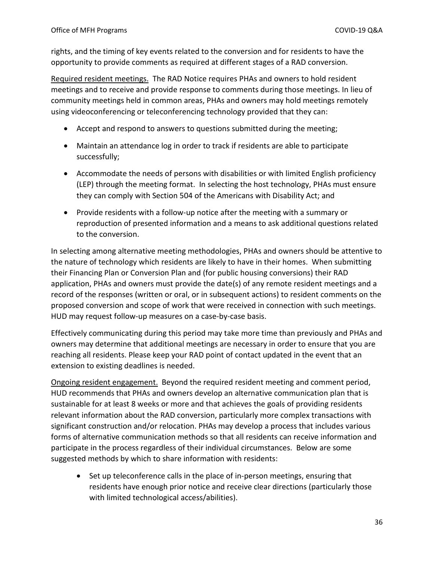rights, and the timing of key events related to the conversion and for residents to have the opportunity to provide comments as required at different stages of a RAD conversion.

Required resident meetings. The RAD Notice requires PHAs and owners to hold resident meetings and to receive and provide response to comments during those meetings. In lieu of community meetings held in common areas, PHAs and owners may hold meetings remotely using videoconferencing or teleconferencing technology provided that they can:

- Accept and respond to answers to questions submitted during the meeting;
- Maintain an attendance log in order to track if residents are able to participate successfully;
- Accommodate the needs of persons with disabilities or with limited English proficiency (LEP) through the meeting format. In selecting the host technology, PHAs must ensure they can comply with Section 504 of the Americans with Disability Act; and
- Provide residents with a follow-up notice after the meeting with a summary or reproduction of presented information and a means to ask additional questions related to the conversion.

In selecting among alternative meeting methodologies, PHAs and owners should be attentive to the nature of technology which residents are likely to have in their homes. When submitting their Financing Plan or Conversion Plan and (for public housing conversions) their RAD application, PHAs and owners must provide the date(s) of any remote resident meetings and a record of the responses (written or oral, or in subsequent actions) to resident comments on the proposed conversion and scope of work that were received in connection with such meetings. HUD may request follow-up measures on a case-by-case basis.

Effectively communicating during this period may take more time than previously and PHAs and owners may determine that additional meetings are necessary in order to ensure that you are reaching all residents. Please keep your RAD point of contact updated in the event that an extension to existing deadlines is needed.

Ongoing resident engagement. Beyond the required resident meeting and comment period, HUD recommends that PHAs and owners develop an alternative communication plan that is sustainable for at least 8 weeks or more and that achieves the goals of providing residents relevant information about the RAD conversion, particularly more complex transactions with significant construction and/or relocation. PHAs may develop a process that includes various forms of alternative communication methods so that all residents can receive information and participate in the process regardless of their individual circumstances. Below are some suggested methods by which to share information with residents:

• Set up teleconference calls in the place of in-person meetings, ensuring that residents have enough prior notice and receive clear directions (particularly those with limited technological access/abilities).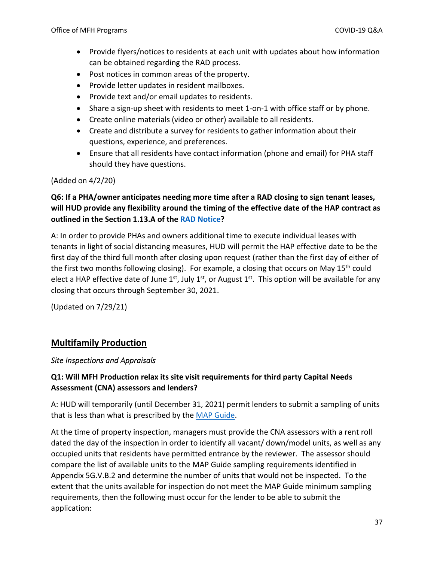- Provide flyers/notices to residents at each unit with updates about how information can be obtained regarding the RAD process.
- Post notices in common areas of the property.
- Provide letter updates in resident mailboxes.
- Provide text and/or email updates to residents.
- Share a sign-up sheet with residents to meet 1-on-1 with office staff or by phone.
- Create online materials (video or other) available to all residents.
- Create and distribute a survey for residents to gather information about their questions, experience, and preferences.
- Ensure that all residents have contact information (phone and email) for PHA staff should they have questions.

#### (Added on 4/2/20)

# **Q6: If a PHA/owner anticipates needing more time after a RAD closing to sign tenant leases, will HUD provide any flexibility around the timing of the effective date of the HAP contract as outlined in the Section 1.13.A of the [RAD Notice?](https://www.hud.gov/sites/dfiles/Housing/documents/H-2019-09-PIH-2019-23_RAD_Notice%20Rev4_20190905.pdf)**

A: In order to provide PHAs and owners additional time to execute individual leases with tenants in light of social distancing measures, HUD will permit the HAP effective date to be the first day of the third full month after closing upon request (rather than the first day of either of the first two months following closing). For example, a closing that occurs on May  $15<sup>th</sup>$  could elect a HAP effective date of June  $1^{st}$ , July  $1^{st}$ , or August  $1^{st}$ . This option will be available for any closing that occurs through September 30, 2021.

(Updated on 7/29/21)

# <span id="page-36-0"></span>**Multifamily Production**

#### <span id="page-36-1"></span>*Site Inspections and Appraisals*

# **Q1: Will MFH Production relax its site visit requirements for third party Capital Needs Assessment (CNA) assessors and lenders?**

A: HUD will temporarily (until December 31, 2021) permit lenders to submit a sampling of units that is less than what is prescribed by the [MAP Guide.](https://www.hud.gov/program_offices/administration/hudclips/guidebooks/hsg-GB4430)

At the time of property inspection, managers must provide the CNA assessors with a rent roll dated the day of the inspection in order to identify all vacant/ down/model units, as well as any occupied units that residents have permitted entrance by the reviewer. The assessor should compare the list of available units to the MAP Guide sampling requirements identified in Appendix 5G.V.B.2 and determine the number of units that would not be inspected. To the extent that the units available for inspection do not meet the MAP Guide minimum sampling requirements, then the following must occur for the lender to be able to submit the application: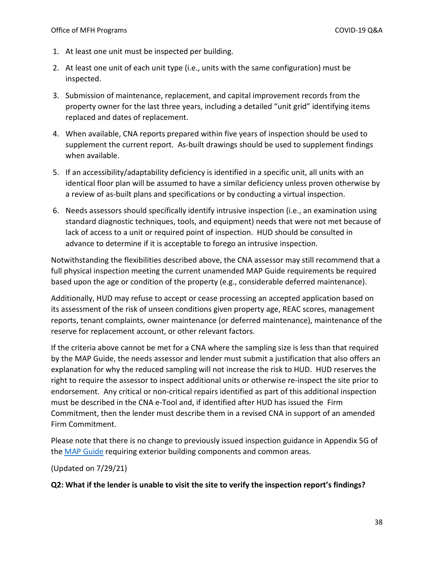- 1. At least one unit must be inspected per building.
- 2. At least one unit of each unit type (i.e., units with the same configuration) must be inspected.
- 3. Submission of maintenance, replacement, and capital improvement records from the property owner for the last three years, including a detailed "unit grid" identifying items replaced and dates of replacement.
- 4. When available, CNA reports prepared within five years of inspection should be used to supplement the current report. As-built drawings should be used to supplement findings when available.
- 5. If an accessibility/adaptability deficiency is identified in a specific unit, all units with an identical floor plan will be assumed to have a similar deficiency unless proven otherwise by a review of as-built plans and specifications or by conducting a virtual inspection.
- 6. Needs assessors should specifically identify intrusive inspection (i.e., an examination using standard diagnostic techniques, tools, and equipment) needs that were not met because of lack of access to a unit or required point of inspection. HUD should be consulted in advance to determine if it is acceptable to forego an intrusive inspection.

Notwithstanding the flexibilities described above, the CNA assessor may still recommend that a full physical inspection meeting the current unamended MAP Guide requirements be required based upon the age or condition of the property (e.g., considerable deferred maintenance).

Additionally, HUD may refuse to accept or cease processing an accepted application based on its assessment of the risk of unseen conditions given property age, REAC scores, management reports, tenant complaints, owner maintenance (or deferred maintenance), maintenance of the reserve for replacement account, or other relevant factors.

If the criteria above cannot be met for a CNA where the sampling size is less than that required by the MAP Guide, the needs assessor and lender must submit a justification that also offers an explanation for why the reduced sampling will not increase the risk to HUD. HUD reserves the right to require the assessor to inspect additional units or otherwise re-inspect the site prior to endorsement. Any critical or non-critical repairs identified as part of this additional inspection must be described in the CNA e-Tool and, if identified after HUD has issued the Firm Commitment, then the lender must describe them in a revised CNA in support of an amended Firm Commitment.

Please note that there is no change to previously issued inspection guidance in Appendix 5G of the [MAP Guide](https://www.hud.gov/program_offices/administration/hudclips/guidebooks/hsg-GB4430) requiring exterior building components and common areas.

(Updated on 7/29/21)

**Q2: What if the lender is unable to visit the site to verify the inspection report's findings?**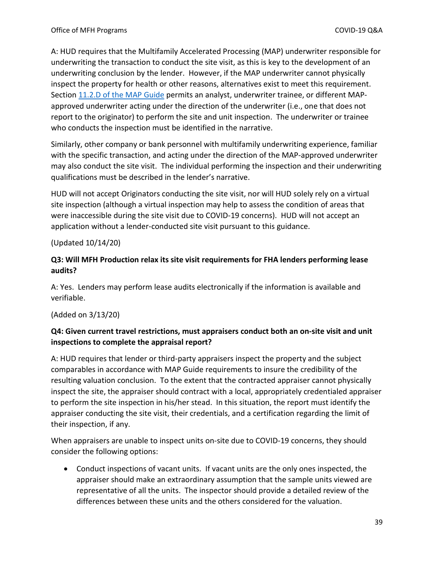A: HUD requires that the Multifamily Accelerated Processing (MAP) underwriter responsible for underwriting the transaction to conduct the site visit, as this is key to the development of an underwriting conclusion by the lender. However, if the MAP underwriter cannot physically inspect the property for health or other reasons, alternatives exist to meet this requirement. Sectio[n 11.2.D of the MAP Guide](https://www.hud.gov/program_offices/administration/hudclips/guidebooks/hsg-GB4430) permits an analyst, underwriter trainee, or different MAPapproved underwriter acting under the direction of the underwriter (i.e., one that does not report to the originator) to perform the site and unit inspection. The underwriter or trainee who conducts the inspection must be identified in the narrative.

Similarly, other company or bank personnel with multifamily underwriting experience, familiar with the specific transaction, and acting under the direction of the MAP-approved underwriter may also conduct the site visit. The individual performing the inspection and their underwriting qualifications must be described in the lender's narrative.

HUD will not accept Originators conducting the site visit, nor will HUD solely rely on a virtual site inspection (although a virtual inspection may help to assess the condition of areas that were inaccessible during the site visit due to COVID-19 concerns). HUD will not accept an application without a lender-conducted site visit pursuant to this guidance.

#### (Updated 10/14/20)

#### **Q3: Will MFH Production relax its site visit requirements for FHA lenders performing lease audits?**

A: Yes. Lenders may perform lease audits electronically if the information is available and verifiable.

#### (Added on 3/13/20)

### **Q4: Given current travel restrictions, must appraisers conduct both an on-site visit and unit inspections to complete the appraisal report?**

A: HUD requires that lender or third-party appraisers inspect the property and the subject comparables in accordance with MAP Guide requirements to insure the credibility of the resulting valuation conclusion. To the extent that the contracted appraiser cannot physically inspect the site, the appraiser should contract with a local, appropriately credentialed appraiser to perform the site inspection in his/her stead. In this situation, the report must identify the appraiser conducting the site visit, their credentials, and a certification regarding the limit of their inspection, if any.

When appraisers are unable to inspect units on-site due to COVID-19 concerns, they should consider the following options:

 Conduct inspections of vacant units. If vacant units are the only ones inspected, the appraiser should make an extraordinary assumption that the sample units viewed are representative of all the units. The inspector should provide a detailed review of the differences between these units and the others considered for the valuation.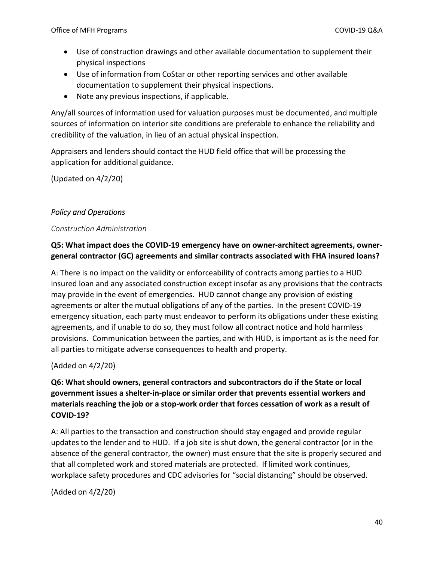- Use of construction drawings and other available documentation to supplement their physical inspections
- Use of information from CoStar or other reporting services and other available documentation to supplement their physical inspections.
- Note any previous inspections, if applicable.

Any/all sources of information used for valuation purposes must be documented, and multiple sources of information on interior site conditions are preferable to enhance the reliability and credibility of the valuation, in lieu of an actual physical inspection.

Appraisers and lenders should contact the HUD field office that will be processing the application for additional guidance.

(Updated on 4/2/20)

# <span id="page-39-0"></span>*Policy and Operations*

#### <span id="page-39-1"></span>*Construction Administration*

### **Q5: What impact does the COVID-19 emergency have on owner-architect agreements, ownergeneral contractor (GC) agreements and similar contracts associated with FHA insured loans?**

A: There is no impact on the validity or enforceability of contracts among parties to a HUD insured loan and any associated construction except insofar as any provisions that the contracts may provide in the event of emergencies. HUD cannot change any provision of existing agreements or alter the mutual obligations of any of the parties. In the present COVID-19 emergency situation, each party must endeavor to perform its obligations under these existing agreements, and if unable to do so, they must follow all contract notice and hold harmless provisions. Communication between the parties, and with HUD, is important as is the need for all parties to mitigate adverse consequences to health and property.

(Added on 4/2/20)

# **Q6: What should owners, general contractors and subcontractors do if the State or local government issues a shelter-in-place or similar order that prevents essential workers and materials reaching the job or a stop-work order that forces cessation of work as a result of COVID-19?**

A: All parties to the transaction and construction should stay engaged and provide regular updates to the lender and to HUD. If a job site is shut down, the general contractor (or in the absence of the general contractor, the owner) must ensure that the site is properly secured and that all completed work and stored materials are protected. If limited work continues, workplace safety procedures and CDC advisories for "social distancing" should be observed.

(Added on 4/2/20)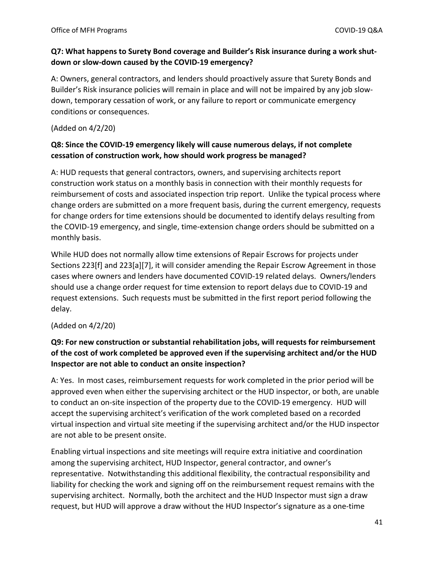#### **Q7: What happens to Surety Bond coverage and Builder's Risk insurance during a work shutdown or slow-down caused by the COVID-19 emergency?**

A: Owners, general contractors, and lenders should proactively assure that Surety Bonds and Builder's Risk insurance policies will remain in place and will not be impaired by any job slowdown, temporary cessation of work, or any failure to report or communicate emergency conditions or consequences.

#### (Added on 4/2/20)

# **Q8: Since the COVID-19 emergency likely will cause numerous delays, if not complete cessation of construction work, how should work progress be managed?**

A: HUD requests that general contractors, owners, and supervising architects report construction work status on a monthly basis in connection with their monthly requests for reimbursement of costs and associated inspection trip report. Unlike the typical process where change orders are submitted on a more frequent basis, during the current emergency, requests for change orders for time extensions should be documented to identify delays resulting from the COVID-19 emergency, and single, time-extension change orders should be submitted on a monthly basis.

While HUD does not normally allow time extensions of Repair Escrows for projects under Sections 223[f] and 223[a][7], it will consider amending the Repair Escrow Agreement in those cases where owners and lenders have documented COVID-19 related delays. Owners/lenders should use a change order request for time extension to report delays due to COVID-19 and request extensions. Such requests must be submitted in the first report period following the delay.

#### (Added on 4/2/20)

# **Q9: For new construction or substantial rehabilitation jobs, will requests for reimbursement of the cost of work completed be approved even if the supervising architect and/or the HUD Inspector are not able to conduct an onsite inspection?**

A: Yes. In most cases, reimbursement requests for work completed in the prior period will be approved even when either the supervising architect or the HUD inspector, or both, are unable to conduct an on-site inspection of the property due to the COVID-19 emergency. HUD will accept the supervising architect's verification of the work completed based on a recorded virtual inspection and virtual site meeting if the supervising architect and/or the HUD inspector are not able to be present onsite.

Enabling virtual inspections and site meetings will require extra initiative and coordination among the supervising architect, HUD Inspector, general contractor, and owner's representative. Notwithstanding this additional flexibility, the contractual responsibility and liability for checking the work and signing off on the reimbursement request remains with the supervising architect. Normally, both the architect and the HUD Inspector must sign a draw request, but HUD will approve a draw without the HUD Inspector's signature as a one-time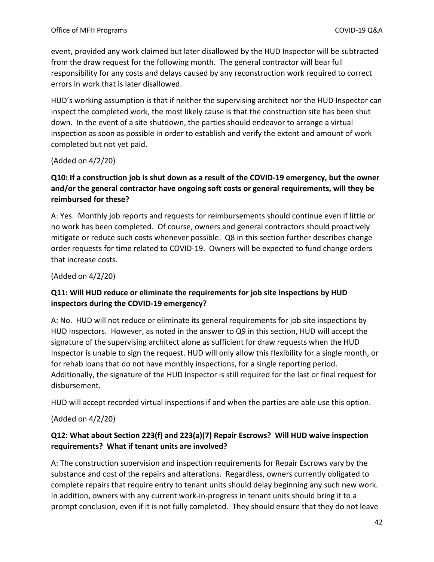event, provided any work claimed but later disallowed by the HUD Inspector will be subtracted from the draw request for the following month. The general contractor will bear full responsibility for any costs and delays caused by any reconstruction work required to correct errors in work that is later disallowed.

HUD's working assumption is that if neither the supervising architect nor the HUD Inspector can inspect the completed work, the most likely cause is that the construction site has been shut down. In the event of a site shutdown, the parties should endeavor to arrange a virtual inspection as soon as possible in order to establish and verify the extent and amount of work completed but not yet paid.

(Added on 4/2/20)

# **Q10: If a construction job is shut down as a result of the COVID-19 emergency, but the owner and/or the general contractor have ongoing soft costs or general requirements, will they be reimbursed for these?**

A: Yes. Monthly job reports and requests for reimbursements should continue even if little or no work has been completed. Of course, owners and general contractors should proactively mitigate or reduce such costs whenever possible. Q8 in this section further describes change order requests for time related to COVID-19. Owners will be expected to fund change orders that increase costs.

(Added on 4/2/20)

### **Q11: Will HUD reduce or eliminate the requirements for job site inspections by HUD inspectors during the COVID-19 emergency?**

A: No. HUD will not reduce or eliminate its general requirements for job site inspections by HUD Inspectors. However, as noted in the answer to Q9 in this section, HUD will accept the signature of the supervising architect alone as sufficient for draw requests when the HUD Inspector is unable to sign the request. HUD will only allow this flexibility for a single month, or for rehab loans that do not have monthly inspections, for a single reporting period. Additionally, the signature of the HUD Inspector is still required for the last or final request for disbursement.

HUD will accept recorded virtual inspections if and when the parties are able use this option.

(Added on 4/2/20)

### **Q12: What about Section 223(f) and 223(a)(7) Repair Escrows? Will HUD waive inspection requirements? What if tenant units are involved?**

A: The construction supervision and inspection requirements for Repair Escrows vary by the substance and cost of the repairs and alterations. Regardless, owners currently obligated to complete repairs that require entry to tenant units should delay beginning any such new work. In addition, owners with any current work-in-progress in tenant units should bring it to a prompt conclusion, even if it is not fully completed. They should ensure that they do not leave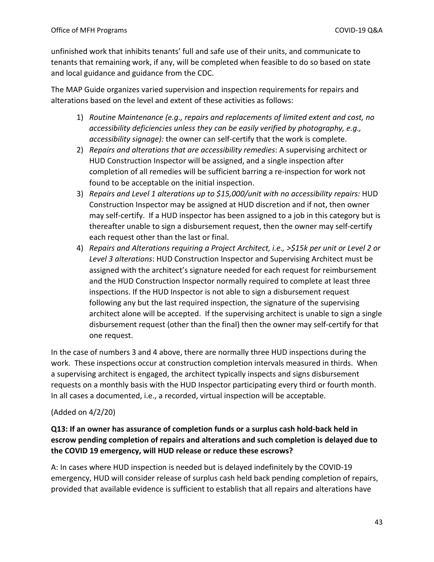unfinished work that inhibits tenants' full and safe use of their units, and communicate to tenants that remaining work, if any, will be completed when feasible to do so based on state and local guidance and guidance from the CDC.

The MAP Guide organizes varied supervision and inspection requirements for repairs and alterations based on the level and extent of these activities as follows:

- 1) *Routine Maintenance (e.g., repairs and replacements of limited extent and cost, no accessibility deficiencies unless they can be easily verified by photography, e.g., accessibility signage):* the owner can self-certify that the work is complete.
- 2) *Repairs and alterations that are accessibility remedies*: A supervising architect or HUD Construction Inspector will be assigned, and a single inspection after completion of all remedies will be sufficient barring a re-inspection for work not found to be acceptable on the initial inspection.
- 3) *Repairs and Level 1 alterations up to \$15,000/unit with no accessibility repairs:* HUD Construction Inspector may be assigned at HUD discretion and if not, then owner may self-certify. If a HUD inspector has been assigned to a job in this category but is thereafter unable to sign a disbursement request, then the owner may self-certify each request other than the last or final.
- 4) *Repairs and Alterations requiring a Project Architect, i.e., >\$15k per unit or Level 2 or Level 3 alterations*: HUD Construction Inspector and Supervising Architect must be assigned with the architect's signature needed for each request for reimbursement and the HUD Construction Inspector normally required to complete at least three inspections. If the HUD Inspector is not able to sign a disbursement request following any but the last required inspection, the signature of the supervising architect alone will be accepted. If the supervising architect is unable to sign a single disbursement request (other than the final) then the owner may self-certify for that one request.

In the case of numbers 3 and 4 above, there are normally three HUD inspections during the work. These inspections occur at construction completion intervals measured in thirds. When a supervising architect is engaged, the architect typically inspects and signs disbursement requests on a monthly basis with the HUD Inspector participating every third or fourth month. In all cases a documented, i.e., a recorded, virtual inspection will be acceptable.

#### (Added on 4/2/20)

### **Q13: If an owner has assurance of completion funds or a surplus cash hold-back held in escrow pending completion of repairs and alterations and such completion is delayed due to the COVID 19 emergency, will HUD release or reduce these escrows?**

A: In cases where HUD inspection is needed but is delayed indefinitely by the COVID-19 emergency, HUD will consider release of surplus cash held back pending completion of repairs, provided that available evidence is sufficient to establish that all repairs and alterations have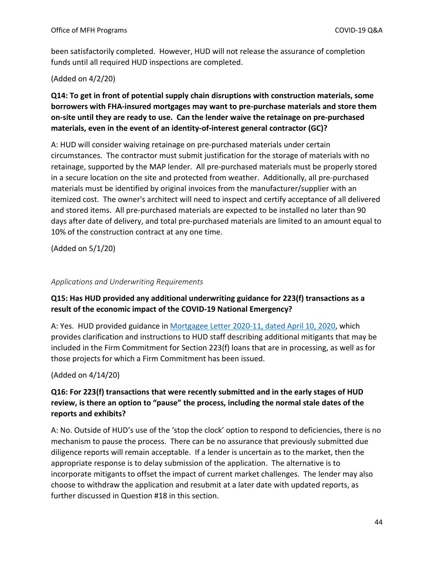been satisfactorily completed. However, HUD will not release the assurance of completion funds until all required HUD inspections are completed.

#### (Added on 4/2/20)

# **Q14: To get in front of potential supply chain disruptions with construction materials, some borrowers with FHA-insured mortgages may want to pre-purchase materials and store them on-site until they are ready to use. Can the lender waive the retainage on pre-purchased materials, even in the event of an identity-of-interest general contractor (GC)?**

A: HUD will consider waiving retainage on pre-purchased materials under certain circumstances. The contractor must submit justification for the storage of materials with no retainage, supported by the MAP lender. All pre-purchased materials must be properly stored in a secure location on the site and protected from weather. Additionally, all pre-purchased materials must be identified by original invoices from the manufacturer/supplier with an itemized cost. The owner's architect will need to inspect and certify acceptance of all delivered and stored items. All pre-purchased materials are expected to be installed no later than 90 days after date of delivery, and total pre-purchased materials are limited to an amount equal to 10% of the construction contract at any one time.

(Added on 5/1/20)

#### <span id="page-43-0"></span>*Applications and Underwriting Requirements*

# **Q15: Has HUD provided any additional underwriting guidance for 223(f) transactions as a result of the economic impact of the COVID-19 National Emergency?**

A: Yes. HUD provided guidance in [Mortgagee Letter 2020-11, dated April 10, 2020,](https://www.hud.gov/sites/dfiles/OCHCO/documents/2020-11hsngml.pdf) which provides clarification and instructions to HUD staff describing additional mitigants that may be included in the Firm Commitment for Section 223(f) loans that are in processing, as well as for those projects for which a Firm Commitment has been issued.

(Added on 4/14/20)

# **Q16: For 223(f) transactions that were recently submitted and in the early stages of HUD review, is there an option to "pause" the process, including the normal stale dates of the reports and exhibits?**

A: No. Outside of HUD's use of the 'stop the clock' option to respond to deficiencies, there is no mechanism to pause the process. There can be no assurance that previously submitted due diligence reports will remain acceptable. If a lender is uncertain as to the market, then the appropriate response is to delay submission of the application. The alternative is to incorporate mitigants to offset the impact of current market challenges. The lender may also choose to withdraw the application and resubmit at a later date with updated reports, as further discussed in Question #18 in this section.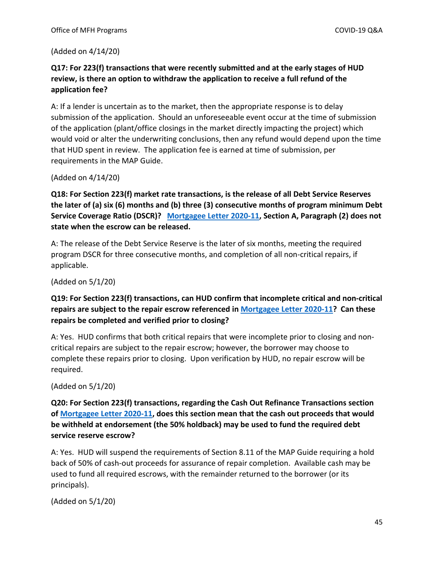(Added on 4/14/20)

### **Q17: For 223(f) transactions that were recently submitted and at the early stages of HUD review, is there an option to withdraw the application to receive a full refund of the application fee?**

A: If a lender is uncertain as to the market, then the appropriate response is to delay submission of the application. Should an unforeseeable event occur at the time of submission of the application (plant/office closings in the market directly impacting the project) which would void or alter the underwriting conclusions, then any refund would depend upon the time that HUD spent in review. The application fee is earned at time of submission, per requirements in the MAP Guide.

(Added on 4/14/20)

**Q18: For Section 223(f) market rate transactions, is the release of all Debt Service Reserves the later of (a) six (6) months and (b) three (3) consecutive months of program minimum Debt Service Coverage Ratio (DSCR)? [Mortgagee Letter 2020-11,](https://www.hud.gov/sites/dfiles/OCHCO/documents/2020-11hsngml.pdf) Section A, Paragraph (2) does not state when the escrow can be released.** 

A: The release of the Debt Service Reserve is the later of six months, meeting the required program DSCR for three consecutive months, and completion of all non-critical repairs, if applicable.

(Added on 5/1/20)

### **Q19: For Section 223(f) transactions, can HUD confirm that incomplete critical and non-critical repairs are subject to the repair escrow referenced i[n Mortgagee Letter 2020-11?](https://www.hud.gov/sites/dfiles/OCHCO/documents/2020-11hsngml.pdf) Can these repairs be completed and verified prior to closing?**

A: Yes. HUD confirms that both critical repairs that were incomplete prior to closing and noncritical repairs are subject to the repair escrow; however, the borrower may choose to complete these repairs prior to closing. Upon verification by HUD, no repair escrow will be required.

(Added on 5/1/20)

**Q20: For Section 223(f) transactions, regarding the Cash Out Refinance Transactions section of [Mortgagee Letter 2020-11,](https://www.hud.gov/sites/dfiles/OCHCO/documents/2020-11hsngml.pdf) does this section mean that the cash out proceeds that would be withheld at endorsement (the 50% holdback) may be used to fund the required debt service reserve escrow?** 

A: Yes. HUD will suspend the requirements of Section 8.11 of the MAP Guide requiring a hold back of 50% of cash-out proceeds for assurance of repair completion. Available cash may be used to fund all required escrows, with the remainder returned to the borrower (or its principals).

(Added on 5/1/20)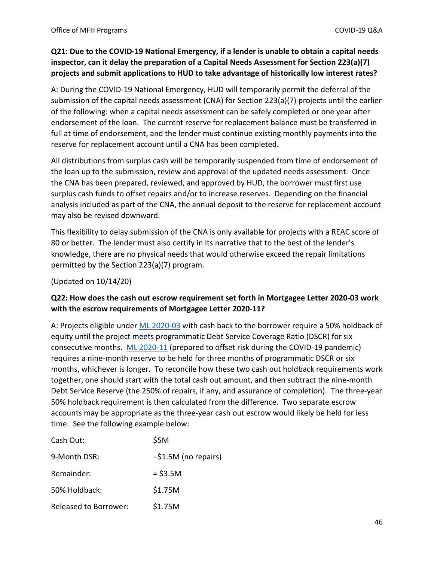### **Q21: Due to the COVID-19 National Emergency, if a lender is unable to obtain a capital needs inspector, can it delay the preparation of a Capital Needs Assessment for Section 223(a)(7) projects and submit applications to HUD to take advantage of historically low interest rates?**

A: During the COVID-19 National Emergency, HUD will temporarily permit the deferral of the submission of the capital needs assessment (CNA) for Section 223(a)(7) projects until the earlier of the following: when a capital needs assessment can be safely completed or one year after endorsement of the loan. The current reserve for replacement balance must be transferred in full at time of endorsement, and the lender must continue existing monthly payments into the reserve for replacement account until a CNA has been completed.

All distributions from surplus cash will be temporarily suspended from time of endorsement of the loan up to the submission, review and approval of the updated needs assessment. Once the CNA has been prepared, reviewed, and approved by HUD, the borrower must first use surplus cash funds to offset repairs and/or to increase reserves. Depending on the financial analysis included as part of the CNA, the annual deposit to the reserve for replacement account may also be revised downward.

This flexibility to delay submission of the CNA is only available for projects with a REAC score of 80 or better. The lender must also certify in its narrative that to the best of the lender's knowledge, there are no physical needs that would otherwise exceed the repair limitations permitted by the Section 223(a)(7) program.

(Updated on 10/14/20)

### **Q22: How does the cash out escrow requirement set forth in Mortgagee Letter 2020-03 work with the escrow requirements of Mortgagee Letter 2020-11?**

A: Projects eligible under [ML 2020-03](https://www.hud.gov/sites/dfiles/OCHCO/documents/20-03hsgml.pdf) with cash back to the borrower require a 50% holdback of equity until the project meets programmatic Debt Service Coverage Ratio (DSCR) for six consecutive months. [ML 2020-11](https://www.hud.gov/sites/dfiles/OCHCO/documents/2020-11hsngml.pdf) (prepared to offset risk during the COVID-19 pandemic) requires a nine-month reserve to be held for three months of programmatic DSCR or six months, whichever is longer. To reconcile how these two cash out holdback requirements work together, one should start with the total cash out amount, and then subtract the nine-month Debt Service Reserve (the 250% of repairs, if any, and assurance of completion). The three-year 50% holdback requirement is then calculated from the difference. Two separate escrow accounts may be appropriate as the three-year cash out escrow would likely be held for less time. See the following example below:

| Cash Out:             | \$5M                   |
|-----------------------|------------------------|
| 9-Month DSR:          | $-\$1.5M$ (no repairs) |
| Remainder:            | $= $3.5M$              |
| 50% Holdback:         | \$1.75M                |
| Released to Borrower: | \$1.75M                |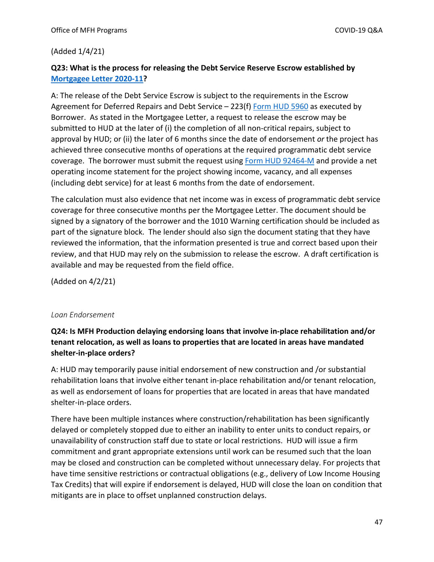#### (Added 1/4/21)

### **Q23: What is the process for releasing the Debt Service Reserve Escrow established by [Mortgagee Letter 2020-11?](https://www.hud.gov/sites/dfiles/OCHCO/documents/2020-11hsngml.pdf)**

A: The release of the Debt Service Escrow is subject to the requirements in the Escrow Agreement for Deferred Repairs and Debt Service – 223(f) [Form HUD 5960](https://www.hud.gov/sites/dfiles/OCHCO/documents/5960.pdf) as executed by Borrower. As stated in the Mortgagee Letter, a request to release the escrow may be submitted to HUD at the later of (i) the completion of all non-critical repairs, subject to approval by HUD; or (ii) the later of 6 months since the date of endorsement *or* the project has achieved three consecutive months of operations at the required programmatic debt service coverage. The borrower must submit the request usin[g Form HUD 92464-M](https://www.hud.gov/sites/dfiles/OCHCO/documents/92464M.pdf) and provide a net operating income statement for the project showing income, vacancy, and all expenses (including debt service) for at least 6 months from the date of endorsement.

The calculation must also evidence that net income was in excess of programmatic debt service coverage for three consecutive months per the Mortgagee Letter. The document should be signed by a signatory of the borrower and the 1010 Warning certification should be included as part of the signature block. The lender should also sign the document stating that they have reviewed the information, that the information presented is true and correct based upon their review, and that HUD may rely on the submission to release the escrow. A draft certification is available and may be requested from the field office.

(Added on 4/2/21)

#### <span id="page-46-0"></span>*Loan Endorsement*

### **Q24: Is MFH Production delaying endorsing loans that involve in-place rehabilitation and/or tenant relocation, as well as loans to properties that are located in areas have mandated shelter-in-place orders?**

A: HUD may temporarily pause initial endorsement of new construction and /or substantial rehabilitation loans that involve either tenant in-place rehabilitation and/or tenant relocation, as well as endorsement of loans for properties that are located in areas that have mandated shelter-in-place orders.

There have been multiple instances where construction/rehabilitation has been significantly delayed or completely stopped due to either an inability to enter units to conduct repairs, or unavailability of construction staff due to state or local restrictions. HUD will issue a firm commitment and grant appropriate extensions until work can be resumed such that the loan may be closed and construction can be completed without unnecessary delay. For projects that have time sensitive restrictions or contractual obligations (e.g., delivery of Low Income Housing Tax Credits) that will expire if endorsement is delayed, HUD will close the loan on condition that mitigants are in place to offset unplanned construction delays.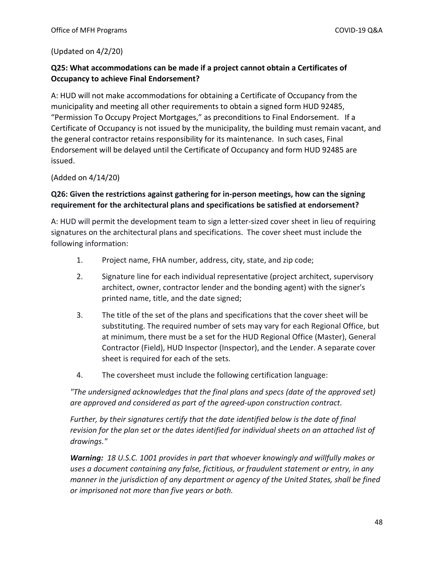#### (Updated on 4/2/20)

#### **Q25: What accommodations can be made if a project cannot obtain a Certificates of Occupancy to achieve Final Endorsement?**

A: HUD will not make accommodations for obtaining a Certificate of Occupancy from the municipality and meeting all other requirements to obtain a signed form HUD 92485, "Permission To Occupy Project Mortgages," as preconditions to Final Endorsement. If a Certificate of Occupancy is not issued by the municipality, the building must remain vacant, and the general contractor retains responsibility for its maintenance. In such cases, Final Endorsement will be delayed until the Certificate of Occupancy and form HUD 92485 are issued.

(Added on 4/14/20)

#### **Q26: Given the restrictions against gathering for in-person meetings, how can the signing requirement for the architectural plans and specifications be satisfied at endorsement?**

A: HUD will permit the development team to sign a letter-sized cover sheet in lieu of requiring signatures on the architectural plans and specifications. The cover sheet must include the following information:

- 1. Project name, FHA number, address, city, state, and zip code;
- 2. Signature line for each individual representative (project architect, supervisory architect, owner, contractor lender and the bonding agent) with the signer's printed name, title, and the date signed;
- 3. The title of the set of the plans and specifications that the cover sheet will be substituting. The required number of sets may vary for each Regional Office, but at minimum, there must be a set for the HUD Regional Office (Master), General Contractor (Field), HUD Inspector (Inspector), and the Lender. A separate cover sheet is required for each of the sets.
- 4. The coversheet must include the following certification language:

*"The undersigned acknowledges that the final plans and specs (date of the approved set) are approved and considered as part of the agreed-upon construction contract.* 

*Further, by their signatures certify that the date identified below is the date of final revision for the plan set or the dates identified for individual sheets on an attached list of drawings."*

*Warning: 18 U.S.C. 1001 provides in part that whoever knowingly and willfully makes or uses a document containing any false, fictitious, or fraudulent statement or entry, in any manner in the jurisdiction of any department or agency of the United States, shall be fined or imprisoned not more than five years or both.*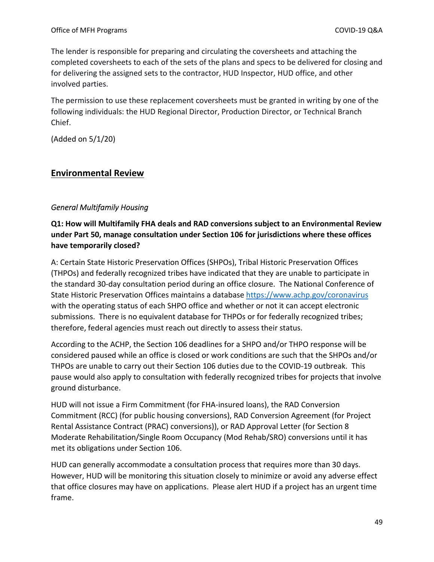The lender is responsible for preparing and circulating the coversheets and attaching the completed coversheets to each of the sets of the plans and specs to be delivered for closing and for delivering the assigned sets to the contractor, HUD Inspector, HUD office, and other involved parties.

The permission to use these replacement coversheets must be granted in writing by one of the following individuals: the HUD Regional Director, Production Director, or Technical Branch Chief.

(Added on 5/1/20)

# <span id="page-48-0"></span>**Environmental Review**

### <span id="page-48-1"></span>*General Multifamily Housing*

# **Q1: How will Multifamily FHA deals and RAD conversions subject to an Environmental Review under Part 50, manage consultation under Section 106 for jurisdictions where these offices have temporarily closed?**

A: Certain State Historic Preservation Offices (SHPOs), Tribal Historic Preservation Offices (THPOs) and federally recognized tribes have indicated that they are unable to participate in the standard 30-day consultation period during an office closure. The National Conference of State Historic Preservation Offices maintains a database<https://www.achp.gov/coronavirus> with the operating status of each SHPO office and whether or not it can accept electronic submissions. There is no equivalent database for THPOs or for federally recognized tribes; therefore, federal agencies must reach out directly to assess their status.

According to the ACHP, the Section 106 deadlines for a SHPO and/or THPO response will be considered paused while an office is closed or work conditions are such that the SHPOs and/or THPOs are unable to carry out their Section 106 duties due to the COVID-19 outbreak. This pause would also apply to consultation with federally recognized tribes for projects that involve ground disturbance.

HUD will not issue a Firm Commitment (for FHA-insured loans), the RAD Conversion Commitment (RCC) (for public housing conversions), RAD Conversion Agreement (for Project Rental Assistance Contract (PRAC) conversions)), or RAD Approval Letter (for Section 8 Moderate Rehabilitation/Single Room Occupancy (Mod Rehab/SRO) conversions until it has met its obligations under Section 106.

HUD can generally accommodate a consultation process that requires more than 30 days. However, HUD will be monitoring this situation closely to minimize or avoid any adverse effect that office closures may have on applications. Please alert HUD if a project has an urgent time frame.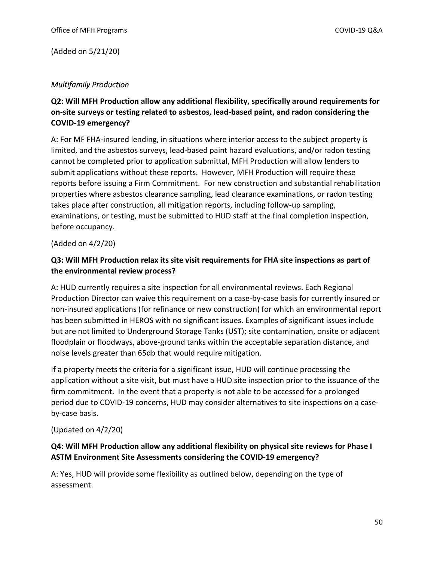(Added on 5/21/20)

#### <span id="page-49-0"></span>*Multifamily Production*

**Q2: Will MFH Production allow any additional flexibility, specifically around requirements for on-site surveys or testing related to asbestos, lead-based paint, and radon considering the COVID-19 emergency?** 

A: For MF FHA-insured lending, in situations where interior access to the subject property is limited, and the asbestos surveys, lead-based paint hazard evaluations, and/or radon testing cannot be completed prior to application submittal, MFH Production will allow lenders to submit applications without these reports. However, MFH Production will require these reports before issuing a Firm Commitment. For new construction and substantial rehabilitation properties where asbestos clearance sampling, lead clearance examinations, or radon testing takes place after construction, all mitigation reports, including follow-up sampling, examinations, or testing, must be submitted to HUD staff at the final completion inspection, before occupancy.

(Added on 4/2/20)

#### **Q3: Will MFH Production relax its site visit requirements for FHA site inspections as part of the environmental review process?**

A: HUD currently requires a site inspection for all environmental reviews. Each Regional Production Director can waive this requirement on a case-by-case basis for currently insured or non-insured applications (for refinance or new construction) for which an environmental report has been submitted in HEROS with no significant issues. Examples of significant issues include but are not limited to Underground Storage Tanks (UST); site contamination, onsite or adjacent floodplain or floodways, above-ground tanks within the acceptable separation distance, and noise levels greater than 65db that would require mitigation.

If a property meets the criteria for a significant issue, HUD will continue processing the application without a site visit, but must have a HUD site inspection prior to the issuance of the firm commitment. In the event that a property is not able to be accessed for a prolonged period due to COVID-19 concerns, HUD may consider alternatives to site inspections on a caseby-case basis.

#### (Updated on 4/2/20)

#### **Q4: Will MFH Production allow any additional flexibility on physical site reviews for Phase I ASTM Environment Site Assessments considering the COVID-19 emergency?**

A: Yes, HUD will provide some flexibility as outlined below, depending on the type of assessment.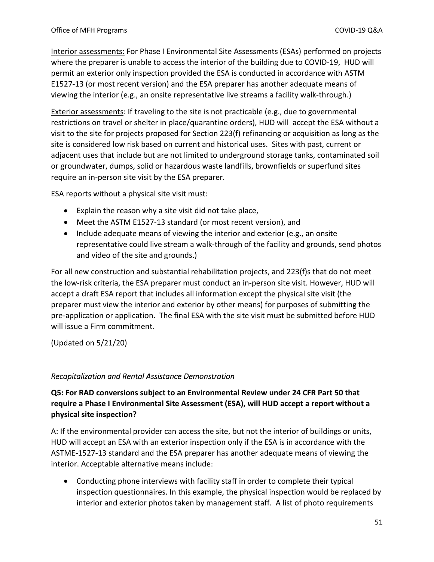Interior assessments: For Phase I Environmental Site Assessments (ESAs) performed on projects where the preparer is unable to access the interior of the building due to COVID-19, HUD will permit an exterior only inspection provided the ESA is conducted in accordance with ASTM E1527-13 (or most recent version) and the ESA preparer has another adequate means of viewing the interior (e.g., an onsite representative live streams a facility walk-through.)

Exterior assessments: If traveling to the site is not practicable (e.g., due to governmental restrictions on travel or shelter in place/quarantine orders), HUD will accept the ESA without a visit to the site for projects proposed for Section 223(f) refinancing or acquisition as long as the site is considered low risk based on current and historical uses. Sites with past, current or adjacent uses that include but are not limited to underground storage tanks, contaminated soil or groundwater, dumps, solid or hazardous waste landfills, brownfields or superfund sites require an in-person site visit by the ESA preparer.

ESA reports without a physical site visit must:

- Explain the reason why a site visit did not take place,
- Meet the ASTM E1527-13 standard (or most recent version), and
- $\bullet$  Include adequate means of viewing the interior and exterior (e.g., an onsite representative could live stream a walk-through of the facility and grounds, send photos and video of the site and grounds.)

For all new construction and substantial rehabilitation projects, and 223(f)s that do not meet the low-risk criteria, the ESA preparer must conduct an in-person site visit. However, HUD will accept a draft ESA report that includes all information except the physical site visit (the preparer must view the interior and exterior by other means) for purposes of submitting the pre-application or application. The final ESA with the site visit must be submitted before HUD will issue a Firm commitment.

(Updated on 5/21/20)

#### <span id="page-50-0"></span>*Recapitalization and Rental Assistance Demonstration*

### **Q5: For RAD conversions subject to an Environmental Review under 24 CFR Part 50 that require a Phase I Environmental Site Assessment (ESA), will HUD accept a report without a physical site inspection?**

A: If the environmental provider can access the site, but not the interior of buildings or units, HUD will accept an ESA with an exterior inspection only if the ESA is in accordance with the ASTME-1527-13 standard and the ESA preparer has another adequate means of viewing the interior. Acceptable alternative means include:

 Conducting phone interviews with facility staff in order to complete their typical inspection questionnaires. In this example, the physical inspection would be replaced by interior and exterior photos taken by management staff. A list of photo requirements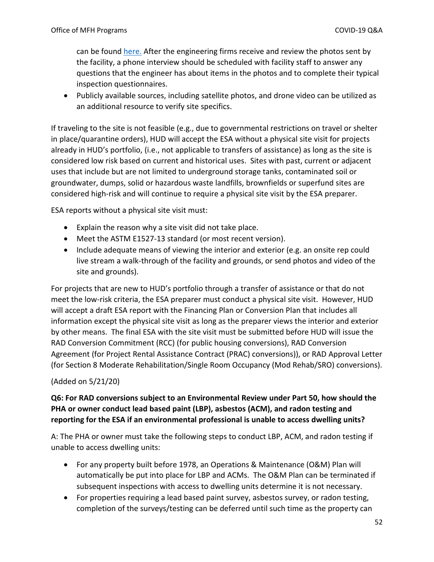can be found here. After the engineering firms receive and review the photos sent by the facility, a phone interview should be scheduled with facility staff to answer any questions that the engineer has about items in the photos and to complete their typical inspection questionnaires.

 Publicly available sources, including satellite photos, and drone video can be utilized as an additional resource to verify site specifics.

If traveling to the site is not feasible (e.g., due to governmental restrictions on travel or shelter in place/quarantine orders), HUD will accept the ESA without a physical site visit for projects already in HUD's portfolio, (i.e., not applicable to transfers of assistance) as long as the site is considered low risk based on current and historical uses. Sites with past, current or adjacent uses that include but are not limited to underground storage tanks, contaminated soil or groundwater, dumps, solid or hazardous waste landfills, brownfields or superfund sites are considered high-risk and will continue to require a physical site visit by the ESA preparer.

ESA reports without a physical site visit must:

- Explain the reason why a site visit did not take place.
- Meet the ASTM E1527-13 standard (or most recent version).
- Include adequate means of viewing the interior and exterior (e.g. an onsite rep could live stream a walk-through of the facility and grounds, or send photos and video of the site and grounds).

For projects that are new to HUD's portfolio through a transfer of assistance or that do not meet the low-risk criteria, the ESA preparer must conduct a physical site visit. However, HUD will accept a draft ESA report with the Financing Plan or Conversion Plan that includes all information except the physical site visit as long as the preparer views the interior and exterior by other means. The final ESA with the site visit must be submitted before HUD will issue the RAD Conversion Commitment (RCC) (for public housing conversions), RAD Conversion Agreement (for Project Rental Assistance Contract (PRAC) conversions)), or RAD Approval Letter (for Section 8 Moderate Rehabilitation/Single Room Occupancy (Mod Rehab/SRO) conversions).

#### (Added on 5/21/20)

### **Q6: For RAD conversions subject to an Environmental Review under Part 50, how should the PHA or owner conduct lead based paint (LBP), asbestos (ACM), and radon testing and reporting for the ESA if an environmental professional is unable to access dwelling units?**

A: The PHA or owner must take the following steps to conduct LBP, ACM, and radon testing if unable to access dwelling units:

- For any property built before 1978, an Operations & Maintenance (O&M) Plan will automatically be put into place for LBP and ACMs. The O&M Plan can be terminated if subsequent inspections with access to dwelling units determine it is not necessary.
- For properties requiring a lead based paint survey, asbestos survey, or radon testing, completion of the surveys/testing can be deferred until such time as the property can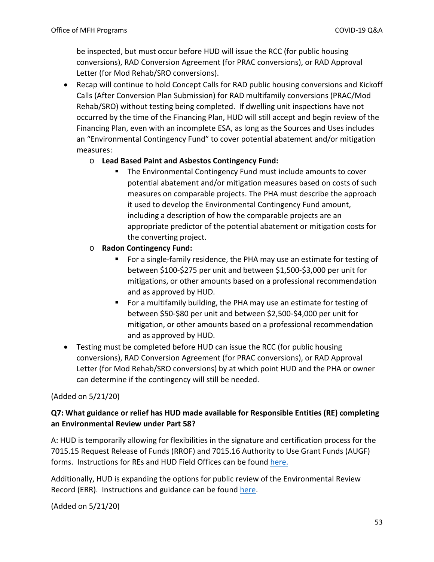be inspected, but must occur before HUD will issue the RCC (for public housing conversions), RAD Conversion Agreement (for PRAC conversions), or RAD Approval Letter (for Mod Rehab/SRO conversions).

 Recap will continue to hold Concept Calls for RAD public housing conversions and Kickoff Calls (After Conversion Plan Submission) for RAD multifamily conversions (PRAC/Mod Rehab/SRO) without testing being completed. If dwelling unit inspections have not occurred by the time of the Financing Plan, HUD will still accept and begin review of the Financing Plan, even with an incomplete ESA, as long as the Sources and Uses includes an "Environmental Contingency Fund" to cover potential abatement and/or mitigation measures:

#### o **Lead Based Paint and Asbestos Contingency Fund:**

- The Environmental Contingency Fund must include amounts to cover potential abatement and/or mitigation measures based on costs of such measures on comparable projects. The PHA must describe the approach it used to develop the Environmental Contingency Fund amount, including a description of how the comparable projects are an appropriate predictor of the potential abatement or mitigation costs for the converting project.
- o **Radon Contingency Fund:** 
	- For a single-family residence, the PHA may use an estimate for testing of between \$100-\$275 per unit and between \$1,500-\$3,000 per unit for mitigations, or other amounts based on a professional recommendation and as approved by HUD.
	- **For a multifamily building, the PHA may use an estimate for testing of** between \$50-\$80 per unit and between \$2,500-\$4,000 per unit for mitigation, or other amounts based on a professional recommendation and as approved by HUD.
- Testing must be completed before HUD can issue the RCC (for public housing conversions), RAD Conversion Agreement (for PRAC conversions), or RAD Approval Letter (for Mod Rehab/SRO conversions) by at which point HUD and the PHA or owner can determine if the contingency will still be needed.

# (Added on 5/21/20)

# **Q7: What guidance or relief has HUD made available for Responsible Entities (RE) completing an Environmental Review under Part 58?**

A: HUD is temporarily allowing for flexibilities in the signature and certification process for the 7015.15 Request Release of Funds (RROF) and 7015.16 Authority to Use Grant Funds (AUGF) forms. Instructions for REs and HUD Field Offices can be found [here.](https://files.hudexchange.info/resources/documents/RROF-AUGF-Signature-Certification-Process-COVID-19.pdf)

Additionally, HUD is expanding the options for public review of the Environmental Review Record (ERR). Instructions and guidance can be found [here.](https://files.hudexchange.info/resources/documents/Consultation-Review-Comment-on-Environmental-Review-Record-COVID-19.pdf)

(Added on 5/21/20)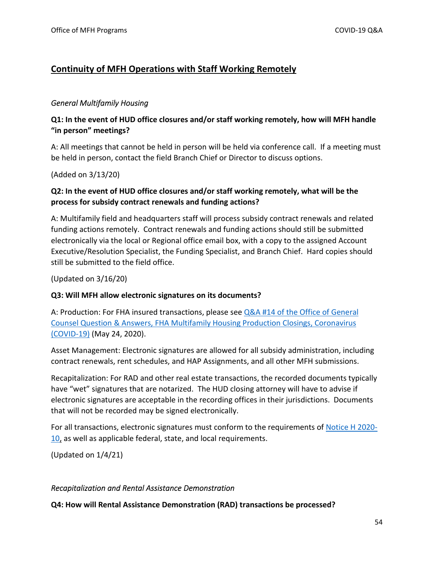# <span id="page-53-0"></span>**Continuity of MFH Operations with Staff Working Remotely**

#### <span id="page-53-1"></span>*General Multifamily Housing*

### **Q1: In the event of HUD office closures and/or staff working remotely, how will MFH handle "in person" meetings?**

A: All meetings that cannot be held in person will be held via conference call. If a meeting must be held in person, contact the field Branch Chief or Director to discuss options.

(Added on 3/13/20)

# **Q2: In the event of HUD office closures and/or staff working remotely, what will be the process for subsidy contract renewals and funding actions?**

A: Multifamily field and headquarters staff will process subsidy contract renewals and related funding actions remotely. Contract renewals and funding actions should still be submitted electronically via the local or Regional office email box, with a copy to the assigned Account Executive/Resolution Specialist, the Funding Specialist, and Branch Chief. Hard copies should still be submitted to the field office.

(Updated on 3/16/20)

#### **Q3: Will MFH allow electronic signatures on its documents?**

A: Production: For FHA insured transactions, please see  $Q&A$  #14 of the Office of General [Counsel Question & Answers, FHA Multifamily Housing Production Closings, Coronavirus](https://www.hud.gov/sites/dfiles/Housing/documents/MF_COVID-19_QA_Production_OGC_Closing.pdf)  [\(COVID-19\)](https://www.hud.gov/sites/dfiles/Housing/documents/MF_COVID-19_QA_Production_OGC_Closing.pdf) (May 24, 2020).

Asset Management: Electronic signatures are allowed for all subsidy administration, including contract renewals, rent schedules, and HAP Assignments, and all other MFH submissions.

Recapitalization: For RAD and other real estate transactions, the recorded documents typically have "wet" signatures that are notarized. The HUD closing attorney will have to advise if electronic signatures are acceptable in the recording offices in their jurisdictions. Documents that will not be recorded may be signed electronically.

For all transactions, electronic signatures must conform to the requirements o[f Notice H 2020-](https://www.hud.gov/sites/dfiles/OCHCO/documents/2020-10hsgn.pdf) [10,](https://www.hud.gov/sites/dfiles/OCHCO/documents/2020-10hsgn.pdf) as well as applicable federal, state, and local requirements.

(Updated on 1/4/21)

#### <span id="page-53-2"></span>*Recapitalization and Rental Assistance Demonstration*

**Q4: How will Rental Assistance Demonstration (RAD) transactions be processed?**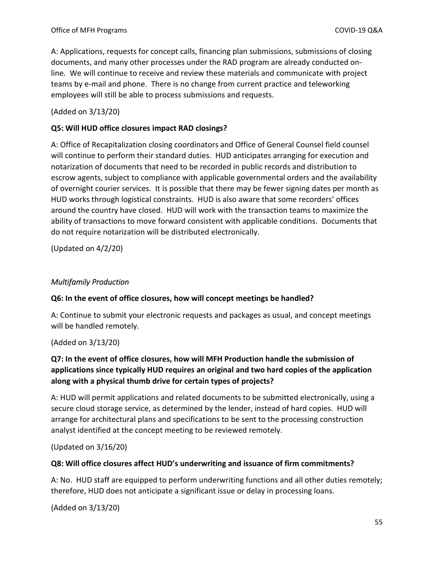A: Applications, requests for concept calls, financing plan submissions, submissions of closing documents, and many other processes under the RAD program are already conducted online. We will continue to receive and review these materials and communicate with project teams by e-mail and phone. There is no change from current practice and teleworking employees will still be able to process submissions and requests.

(Added on 3/13/20)

#### **Q5: Will HUD office closures impact RAD closings?**

A: Office of Recapitalization closing coordinators and Office of General Counsel field counsel will continue to perform their standard duties. HUD anticipates arranging for execution and notarization of documents that need to be recorded in public records and distribution to escrow agents, subject to compliance with applicable governmental orders and the availability of overnight courier services. It is possible that there may be fewer signing dates per month as HUD works through logistical constraints. HUD is also aware that some recorders' offices around the country have closed. HUD will work with the transaction teams to maximize the ability of transactions to move forward consistent with applicable conditions. Documents that do not require notarization will be distributed electronically.

(Updated on 4/2/20)

#### <span id="page-54-0"></span>*Multifamily Production*

#### **Q6: In the event of office closures, how will concept meetings be handled?**

A: Continue to submit your electronic requests and packages as usual, and concept meetings will be handled remotely.

(Added on 3/13/20)

# **Q7: In the event of office closures, how will MFH Production handle the submission of applications since typically HUD requires an original and two hard copies of the application along with a physical thumb drive for certain types of projects?**

A: HUD will permit applications and related documents to be submitted electronically, using a secure cloud storage service, as determined by the lender, instead of hard copies. HUD will arrange for architectural plans and specifications to be sent to the processing construction analyst identified at the concept meeting to be reviewed remotely.

(Updated on 3/16/20)

#### **Q8: Will office closures affect HUD's underwriting and issuance of firm commitments?**

A: No. HUD staff are equipped to perform underwriting functions and all other duties remotely; therefore, HUD does not anticipate a significant issue or delay in processing loans.

(Added on 3/13/20)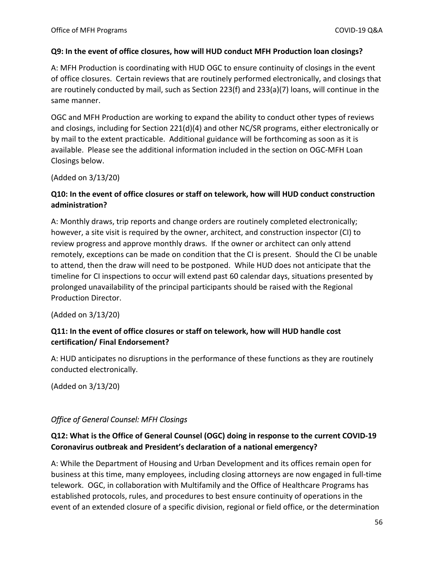#### **Q9: In the event of office closures, how will HUD conduct MFH Production loan closings?**

A: MFH Production is coordinating with HUD OGC to ensure continuity of closings in the event of office closures. Certain reviews that are routinely performed electronically, and closings that are routinely conducted by mail, such as Section 223(f) and 233(a)(7) loans, will continue in the same manner.

OGC and MFH Production are working to expand the ability to conduct other types of reviews and closings, including for Section 221(d)(4) and other NC/SR programs, either electronically or by mail to the extent practicable. Additional guidance will be forthcoming as soon as it is available. Please see the additional information included in the section on OGC-MFH Loan Closings below.

(Added on 3/13/20)

#### **Q10: In the event of office closures or staff on telework, how will HUD conduct construction administration?**

A: Monthly draws, trip reports and change orders are routinely completed electronically; however, a site visit is required by the owner, architect, and construction inspector (CI) to review progress and approve monthly draws. If the owner or architect can only attend remotely, exceptions can be made on condition that the CI is present. Should the CI be unable to attend, then the draw will need to be postponed. While HUD does not anticipate that the timeline for CI inspections to occur will extend past 60 calendar days, situations presented by prolonged unavailability of the principal participants should be raised with the Regional Production Director.

(Added on 3/13/20)

### **Q11: In the event of office closures or staff on telework, how will HUD handle cost certification/ Final Endorsement?**

A: HUD anticipates no disruptions in the performance of these functions as they are routinely conducted electronically.

(Added on 3/13/20)

#### <span id="page-55-0"></span>*Office of General Counsel: MFH Closings*

# **Q12: What is the Office of General Counsel (OGC) doing in response to the current COVID-19 Coronavirus outbreak and President's declaration of a national emergency?**

A: While the Department of Housing and Urban Development and its offices remain open for business at this time, many employees, including closing attorneys are now engaged in full-time telework. OGC, in collaboration with Multifamily and the Office of Healthcare Programs has established protocols, rules, and procedures to best ensure continuity of operations in the event of an extended closure of a specific division, regional or field office, or the determination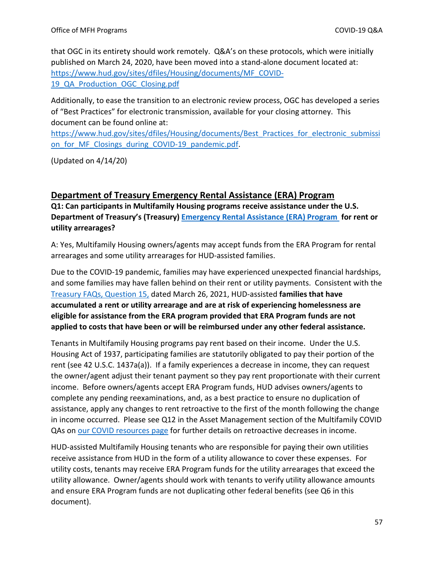that OGC in its entirety should work remotely. Q&A's on these protocols, which were initially published on March 24, 2020, have been moved into a stand-alone document located at: [https://www.hud.gov/sites/dfiles/Housing/documents/MF\\_COVID-](https://www.hud.gov/sites/dfiles/Housing/documents/MF_COVID-19_QA_Production_OGC_Closing.pdf)[19\\_QA\\_Production\\_OGC\\_Closing.pdf](https://www.hud.gov/sites/dfiles/Housing/documents/MF_COVID-19_QA_Production_OGC_Closing.pdf)

Additionally, to ease the transition to an electronic review process, OGC has developed a series of "Best Practices" for electronic transmission, available for your closing attorney. This document can be found online at:

[https://www.hud.gov/sites/dfiles/Housing/documents/Best\\_Practices\\_for\\_electronic\\_submissi](https://www.hud.gov/sites/dfiles/Housing/documents/Best_Practices_for_electronic_submission_for_MF_Closings_during_COVID-19_pandemic.pdf) on for MF Closings during COVID-19 pandemic.pdf.

(Updated on 4/14/20)

# <span id="page-56-0"></span>**[Department of Treasury Emergency Rental Assistance \(ERA\) Program](https://home.treasury.gov/policy-issues/cares/emergency-rental-assistance-program)**

**Q1: Can participants in Multifamily Housing programs receive assistance under the U.S. Department of Treasury's (Treasury) [Emergency Rental Assistance \(ERA\) Program](https://home.treasury.gov/policy-issues/cares/emergency-rental-assistance-program) for rent or utility arrearages?** 

A: Yes, Multifamily Housing owners/agents may accept funds from the ERA Program for rental arrearages and some utility arrearages for HUD-assisted families.

Due to the COVID-19 pandemic, families may have experienced unexpected financial hardships, and some families may have fallen behind on their rent or utility payments. Consistent with the [Treasury FAQs, Question 15,](https://home.treasury.gov/system/files/136/ERA2FAQs%205-6-21.pdf) dated March 26, 2021, HUD-assisted **families that have accumulated a rent or utility arrearage and are at risk of experiencing homelessness are eligible for assistance from the ERA program provided that ERA Program funds are not applied to costs that have been or will be reimbursed under any other federal assistance.**

Tenants in Multifamily Housing programs pay rent based on their income. Under the U.S. Housing Act of 1937, participating families are statutorily obligated to pay their portion of the rent (see 42 U.S.C. 1437a(a)). If a family experiences a decrease in income, they can request the owner/agent adjust their tenant payment so they pay rent proportionate with their current income. Before owners/agents accept ERA Program funds, HUD advises owners/agents to complete any pending reexaminations, and, as a best practice to ensure no duplication of assistance, apply any changes to rent retroactive to the first of the month following the change in income occurred. Please see Q12 in the Asset Management section of the Multifamily COVID QAs on [our COVID resources page](https://www.hud.gov/program_offices/housing/mfh/Multifamily_Housing_COVID-19_Guidance) for further details on retroactive decreases in income.

HUD-assisted Multifamily Housing tenants who are responsible for paying their own utilities receive assistance from HUD in the form of a utility allowance to cover these expenses. For utility costs, tenants may receive ERA Program funds for the utility arrearages that exceed the utility allowance. Owner/agents should work with tenants to verify utility allowance amounts and ensure ERA Program funds are not duplicating other federal benefits (see Q6 in this document).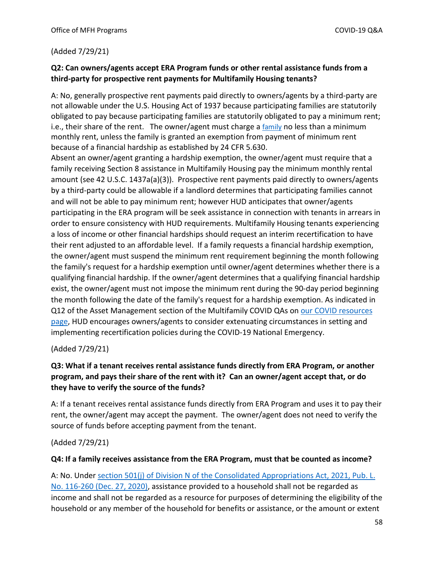#### (Added 7/29/21)

#### **Q2: Can owners/agents accept ERA Program funds or other rental assistance funds from a third-party for prospective rent payments for Multifamily Housing tenants?**

A: No, generally prospective rent payments paid directly to owners/agents by a third-party are not allowable under the U.S. Housing Act of 1937 because participating families are statutorily obligated to pay because participating families are statutorily obligated to pay a minimum rent; i.e., their share of the rent. The owner/agent must charge a  $f_{\text{amily}}$  no less than a minimum monthly rent, unless the family is granted an exemption from payment of minimum rent because of a financial hardship as established by 24 CFR 5.630.

Absent an owner/agent granting a hardship exemption, the owner/agent must require that a family receiving Section 8 assistance in Multifamily Housing pay the minimum monthly rental amount (see 42 U.S.C. 1437a(a)(3)). Prospective rent payments paid directly to owners/agents by a third-party could be allowable if a landlord determines that participating families cannot and will not be able to pay minimum rent; however HUD anticipates that owner/agents participating in the ERA program will be seek assistance in connection with tenants in arrears in order to ensure consistency with HUD requirements. Multifamily Housing tenants experiencing a loss of income or other financial hardships should request an interim recertification to have their rent adjusted to an affordable level. If a family requests a financial hardship exemption, the owner/agent must suspend the minimum rent requirement beginning the month following the family's request for a hardship exemption until owner/agent determines whether there is a qualifying financial hardship. If the owner/agent determines that a qualifying financial hardship exist, the owner/agent must not impose the minimum rent during the 90-day period beginning the month following the date of the family's request for a hardship exemption. As indicated in Q12 of the Asset Management section of the Multifamily COVID QAs on [our COVID resources](https://www.hud.gov/program_offices/housing/mfh/Multifamily_Housing_COVID-19_Guidance)  [page,](https://www.hud.gov/program_offices/housing/mfh/Multifamily_Housing_COVID-19_Guidance) HUD encourages owners/agents to consider extenuating circumstances in setting and implementing recertification policies during the COVID-19 National Emergency.

#### (Added 7/29/21)

### **Q3: What if a tenant receives rental assistance funds directly from ERA Program, or another program, and pays their share of the rent with it? Can an owner/agent accept that, or do they have to verify the source of the funds?**

A: If a tenant receives rental assistance funds directly from ERA Program and uses it to pay their rent, the owner/agent may accept the payment. The owner/agent does not need to verify the source of funds before accepting payment from the tenant.

#### (Added 7/29/21)

#### **Q4: If a family receives assistance from the ERA Program, must that be counted as income?**

A: No. Under [section 501\(j\) of Division N of the Consolidated Appropriations Act, 2021, Pub. L.](https://www.congress.gov/116/bills/hr133/BILLS-116hr133enr.pdf)  [No. 116-260 \(Dec. 27, 2020\),](https://www.congress.gov/116/bills/hr133/BILLS-116hr133enr.pdf) assistance provided to a household shall not be regarded as income and shall not be regarded as a resource for purposes of determining the eligibility of the household or any member of the household for benefits or assistance, or the amount or extent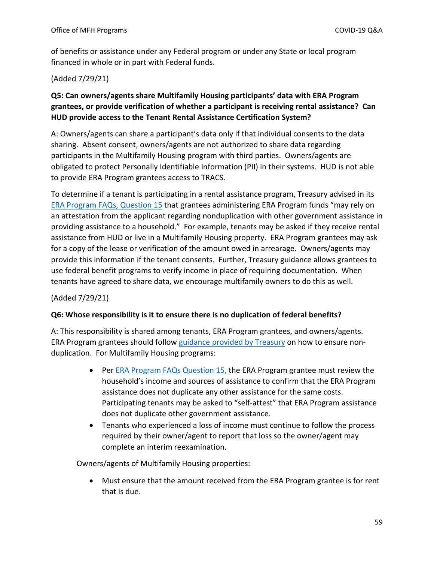of benefits or assistance under any Federal program or under any State or local program financed in whole or in part with Federal funds.

#### (Added 7/29/21)

### **Q5: Can owners/agents share Multifamily Housing participants' data with ERA Program grantees, or provide verification of whether a participant is receiving rental assistance? Can HUD provide access to the Tenant Rental Assistance Certification System?**

A: Owners/agents can share a participant's data only if that individual consents to the data sharing. Absent consent, owners/agents are not authorized to share data regarding participants in the Multifamily Housing program with third parties. Owners/agents are obligated to protect Personally Identifiable Information (PII) in their systems. HUD is not able to provide ERA Program grantees access to TRACS.

To determine if a tenant is participating in a rental assistance program, Treasury advised in its [ERA Program FAQs, Question 15](https://home.treasury.gov/system/files/136/ERA2FAQs%205-6-21.pdf) that grantees administering ERA Program funds "may rely on an attestation from the applicant regarding nonduplication with other government assistance in providing assistance to a household." For example, tenants may be asked if they receive rental assistance from HUD or live in a Multifamily Housing property. ERA Program grantees may ask for a copy of the lease or verification of the amount owed in arrearage. Owners/agents may provide this information if the tenant consents. Further, Treasury guidance allows grantees to use federal benefit programs to verify income in place of requiring documentation. When tenants have agreed to share data, we encourage multifamily owners to do this as well.

#### (Added 7/29/21)

#### **Q6: Whose responsibility is it to ensure there is no duplication of federal benefits?**

A: This responsibility is shared among tenants, ERA Program grantees, and owners/agents. ERA Program grantees should follow [guidance provided by Treasury](https://home.treasury.gov/system/files/136/ERA2FAQs%205-6-21.pdf) on how to ensure nonduplication. For Multifamily Housing programs:

- Per **ERA Program FAQs Question 15, the ERA Program grantee must review the** household's income and sources of assistance to confirm that the ERA Program assistance does not duplicate any other assistance for the same costs. Participating tenants may be asked to "self-attest" that ERA Program assistance does not duplicate other government assistance.
- Tenants who experienced a loss of income must continue to follow the process required by their owner/agent to report that loss so the owner/agent may complete an interim reexamination.

Owners/agents of Multifamily Housing properties:

 Must ensure that the amount received from the ERA Program grantee is for rent that is due.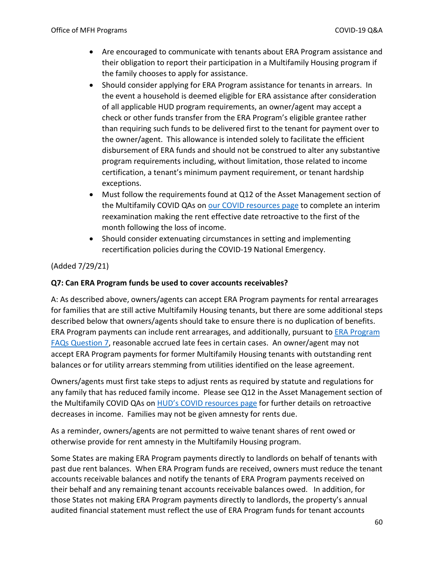- Are encouraged to communicate with tenants about ERA Program assistance and their obligation to report their participation in a Multifamily Housing program if the family chooses to apply for assistance.
- Should consider applying for ERA Program assistance for tenants in arrears. In the event a household is deemed eligible for ERA assistance after consideration of all applicable HUD program requirements, an owner/agent may accept a check or other funds transfer from the ERA Program's eligible grantee rather than requiring such funds to be delivered first to the tenant for payment over to the owner/agent. This allowance is intended solely to facilitate the efficient disbursement of ERA funds and should not be construed to alter any substantive program requirements including, without limitation, those related to income certification, a tenant's minimum payment requirement, or tenant hardship exceptions.
- Must follow the requirements found at Q12 of the Asset Management section of the Multifamily COVID QAs on [our COVID resources page](https://www.hud.gov/program_offices/housing/mfh/Multifamily_Housing_COVID-19_Guidance) to complete an interim reexamination making the rent effective date retroactive to the first of the month following the loss of income.
- Should consider extenuating circumstances in setting and implementing recertification policies during the COVID-19 National Emergency.

#### (Added 7/29/21)

#### **Q7: Can ERA Program funds be used to cover accounts receivables?**

A: As described above, owners/agents can accept ERA Program payments for rental arrearages for families that are still active Multifamily Housing tenants, but there are some additional steps described below that owners/agents should take to ensure there is no duplication of benefits. ERA Program payments can include rent arrearages, and additionally, pursuant to [ERA Program](https://home.treasury.gov/system/files/136/ERA2FAQs%205-6-21.pdf)  [FAQs Question 7,](https://home.treasury.gov/system/files/136/ERA2FAQs%205-6-21.pdf) reasonable accrued late fees in certain cases. An owner/agent may not accept ERA Program payments for former Multifamily Housing tenants with outstanding rent balances or for utility arrears stemming from utilities identified on the lease agreement.

Owners/agents must first take steps to adjust rents as required by statute and regulations for any family that has reduced family income. Please see Q12 in the Asset Management section of the Multifamily COVID QAs on [HUD's COVID resources page](https://www.hud.gov/program_offices/housing/mfh/Multifamily_Housing_COVID-19_Guidance) for further details on retroactive decreases in income. Families may not be given amnesty for rents due.

As a reminder, owners/agents are not permitted to waive tenant shares of rent owed or otherwise provide for rent amnesty in the Multifamily Housing program.

Some States are making ERA Program payments directly to landlords on behalf of tenants with past due rent balances. When ERA Program funds are received, owners must reduce the tenant accounts receivable balances and notify the tenants of ERA Program payments received on their behalf and any remaining tenant accounts receivable balances owed. In addition, for those States not making ERA Program payments directly to landlords, the property's annual audited financial statement must reflect the use of ERA Program funds for tenant accounts